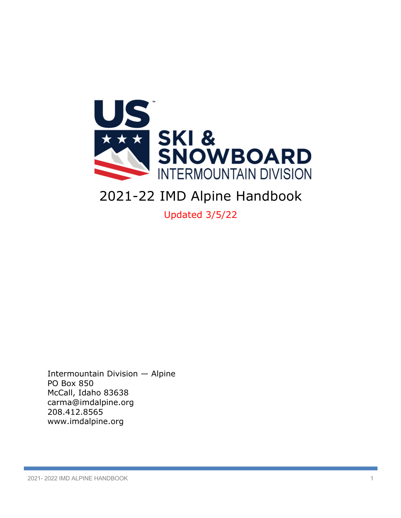

# 2021-22 IMD Alpine Handbook

Updated 3/5/22

Intermountain Division — Alpine PO Box 850 McCall, Idaho 83638 carma@imdalpine.org 208.412.8565 www.imdalpine.org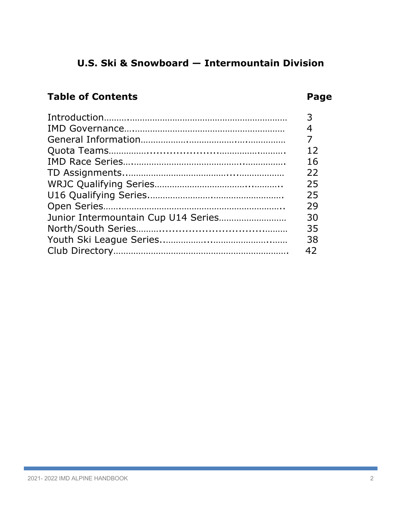# **U.S. Ski & Snowboard — Intermountain Division**

# **Table of Contents Page**

| 3  |
|----|
|    |
|    |
| 12 |
| 16 |
| 22 |
| 25 |
| 25 |
| 29 |
| 30 |
| 35 |
| 38 |
| 42 |
|    |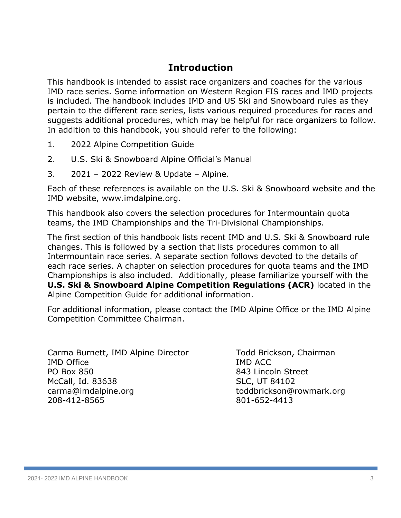# **Introduction**

This handbook is intended to assist race organizers and coaches for the various IMD race series. Some information on Western Region FIS races and IMD projects is included. The handbook includes IMD and US Ski and Snowboard rules as they pertain to the different race series, lists various required procedures for races and suggests additional procedures, which may be helpful for race organizers to follow. In addition to this handbook, you should refer to the following:

- 1. 2022 Alpine Competition Guide
- 2. U.S. Ski & Snowboard Alpine Official's Manual
- 3. 2021 2022 Review & Update Alpine.

Each of these references is available on the U.S. Ski & Snowboard website and the IMD website, www.imdalpine.org.

This handbook also covers the selection procedures for Intermountain quota teams, the IMD Championships and the Tri-Divisional Championships.

The first section of this handbook lists recent IMD and U.S. Ski & Snowboard rule changes. This is followed by a section that lists procedures common to all Intermountain race series. A separate section follows devoted to the details of each race series. A chapter on selection procedures for quota teams and the IMD Championships is also included. Additionally, please familiarize yourself with the **U.S. Ski & Snowboard Alpine Competition Regulations (ACR)** located in the Alpine Competition Guide for additional information.

For additional information, please contact the IMD Alpine Office or the IMD Alpine Competition Committee Chairman.

| Carma Burnett, IMD Alpine Director |
|------------------------------------|
| <b>IMD Office</b>                  |
| <b>PO Box 850</b>                  |
| McCall, Id. 83638                  |
| carma@imdalpine.org                |
| 208-412-8565                       |

Todd Brickson, Chairman IMD ACC 843 Lincoln Street SLC, UT 84102 toddbrickson@rowmark.org 801-652-4413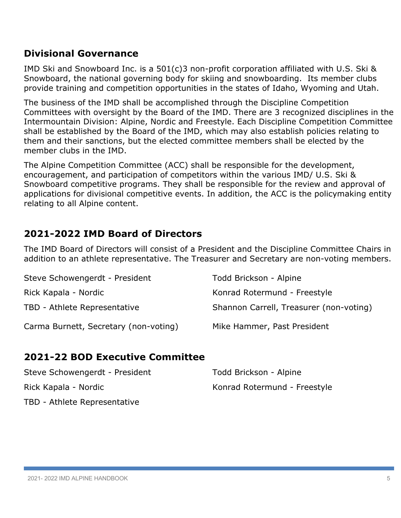# **Divisional Governance**

IMD Ski and Snowboard Inc. is a 501(c)3 non-profit corporation affiliated with U.S. Ski & Snowboard, the national governing body for skiing and snowboarding. Its member clubs provide training and competition opportunities in the states of Idaho, Wyoming and Utah.

The business of the IMD shall be accomplished through the Discipline Competition Committees with oversight by the Board of the IMD. There are 3 recognized disciplines in the Intermountain Division: Alpine, Nordic and Freestyle. Each Discipline Competition Committee shall be established by the Board of the IMD, which may also establish policies relating to them and their sanctions, but the elected committee members shall be elected by the member clubs in the IMD.

The Alpine Competition Committee (ACC) shall be responsible for the development, encouragement, and participation of competitors within the various IMD/ U.S. Ski & Snowboard competitive programs. They shall be responsible for the review and approval of applications for divisional competitive events. In addition, the ACC is the policymaking entity relating to all Alpine content.

# **2021-2022 IMD Board of Directors**

The IMD Board of Directors will consist of a President and the Discipline Committee Chairs in addition to an athlete representative. The Treasurer and Secretary are non-voting members.

| Steve Schowengerdt - President        | Todd Brickson - Alpine                  |
|---------------------------------------|-----------------------------------------|
| Rick Kapala - Nordic                  | Konrad Rotermund - Freestyle            |
| TBD - Athlete Representative          | Shannon Carrell, Treasurer (non-voting) |
| Carma Burnett, Secretary (non-voting) | Mike Hammer, Past President             |

# **2021-22 BOD Executive Committee**

| Steve Schowengerdt - President | Todd Brickson - Alpine       |
|--------------------------------|------------------------------|
| Rick Kapala - Nordic           | Konrad Rotermund - Freestyle |
| TBD - Athlete Representative   |                              |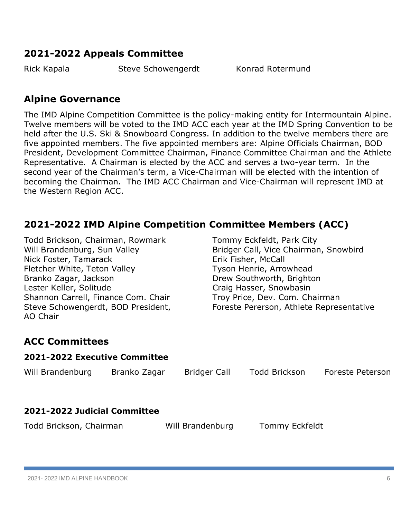# **2021-2022 Appeals Committee**

Rick Kapala Steve Schowengerdt Konrad Rotermund

# **Alpine Governance**

The IMD Alpine Competition Committee is the policy-making entity for Intermountain Alpine. Twelve members will be voted to the IMD ACC each year at the IMD Spring Convention to be held after the U.S. Ski & Snowboard Congress. In addition to the twelve members there are five appointed members. The five appointed members are: Alpine Officials Chairman, BOD President, Development Committee Chairman, Finance Committee Chairman and the Athlete Representative. A Chairman is elected by the ACC and serves a two-year term. In the second year of the Chairman's term, a Vice-Chairman will be elected with the intention of becoming the Chairman. The IMD ACC Chairman and Vice-Chairman will represent IMD at the Western Region ACC.

# **2021-2022 IMD Alpine Competition Committee Members (ACC)**

Todd Brickson, Chairman, Rowmark Tommy Eckfeldt, Park City Nick Foster, Tamarack **Erik Fisher, McCall** Fletcher White, Teton Valley Tyson Henrie, Arrowhead Branko Zagar, Jackson **Drew Southworth, Brighton** Lester Keller, Solitude Craig Hasser, Snowbasin Shannon Carrell, Finance Com. Chair Troy Price, Dev. Com. Chairman AO Chair

Will Brandenburg, Sun Valley **Bridger Call, Vice Chairman, Snowbird** Steve Schowengerdt, BOD President, Foreste Pererson, Athlete Representative

# **ACC Committees**

| 2021-2022 Executive Committee |              |                     |                |                  |
|-------------------------------|--------------|---------------------|----------------|------------------|
| Will Brandenburg              | Branko Zagar | <b>Bridger Call</b> | Todd Brickson  | Foreste Peterson |
| 2021-2022 Judicial Committee  |              |                     |                |                  |
| Todd Brickson, Chairman       |              | Will Brandenburg    | Tommy Eckfeldt |                  |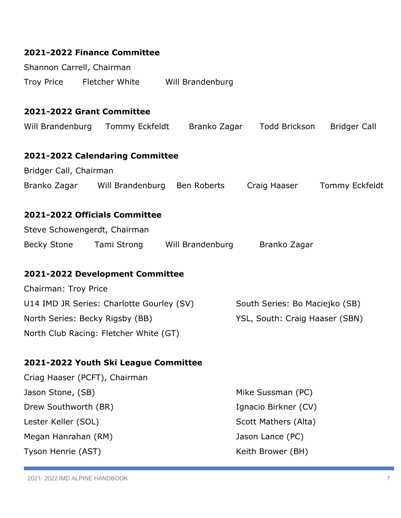| 2021-2022 Finance Committee                                |                                       |
|------------------------------------------------------------|---------------------------------------|
| Shannon Carrell, Chairman                                  |                                       |
| Troy Price Fletcher White Will Brandenburg                 |                                       |
| 2021-2022 Grant Committee                                  |                                       |
| Will Brandenburg Tommy Eckfeldt Branko Zagar Todd Brickson | <b>Bridger Call</b>                   |
| 2021-2022 Calendaring Committee                            |                                       |
| Bridger Call, Chairman                                     |                                       |
| Branko Zagar Will Brandenburg Ben Roberts                  | Craig Haaser<br><b>Tommy Eckfeldt</b> |
| 2021-2022 Officials Committee                              |                                       |
| Steve Schowengerdt, Chairman                               |                                       |
| Becky Stone Tami Strong Will Brandenburg Branko Zagar      |                                       |
| 2021-2022 Development Committee                            |                                       |
| Chairman: Troy Price                                       |                                       |
| U14 IMD JR Series: Charlotte Gourley (SV)                  | South Series: Bo Maciejko (SB)        |
| North Series: Becky Rigsby (BB)                            | YSL, South: Craig Haaser (SBN)        |
| North Club Racing: Fletcher White (GT)                     |                                       |
| 2021-2022 Youth Ski League Committee                       |                                       |
| Criag Haaser (PCFT), Chairman                              |                                       |
| Jason Stone, (SB)                                          | Mike Sussman (PC)                     |
| Drew Southworth (BR)                                       | Ignacio Birkner (CV)                  |
| Lester Keller (SOL)                                        | Scott Mathers (Alta)                  |
| Megan Hanrahan (RM)                                        | Jason Lance (PC)                      |
| Tyson Henrie (AST)                                         | Keith Brower (BH)                     |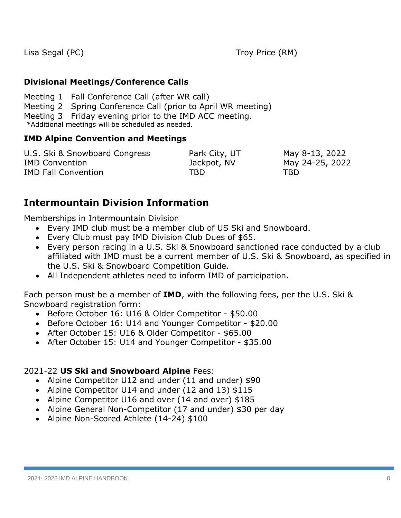Lisa Segal (PC) Troy Price (RM)

# **Divisional Meetings/Conference Calls**

Meeting 1 Fall Conference Call (after WR call) Meeting 2 Spring Conference Call (prior to April WR meeting) Meeting 3 Friday evening prior to the IMD ACC meeting. \*Additional meetings will be scheduled as needed.

# **IMD Alpine Convention and Meetings**

| U.S. Ski & Snowboard Congress | Park City, UT | May 8-13, 2022  |
|-------------------------------|---------------|-----------------|
| <b>IMD Convention</b>         | Jackpot, NV   | May 24-25, 2022 |
| <b>IMD Fall Convention</b>    | TBD.          | TBD             |

# **Intermountain Division Information**

Memberships in Intermountain Division

- Every IMD club must be a member club of US Ski and Snowboard.
- Every Club must pay IMD Division Club Dues of \$65.
- Every person racing in a U.S. Ski & Snowboard sanctioned race conducted by a club affiliated with IMD must be a current member of U.S. Ski & Snowboard, as specified in the U.S. Ski & Snowboard Competition Guide.
- All Independent athletes need to inform IMD of participation.

Each person must be a member of **IMD**, with the following fees, per the U.S. Ski & Snowboard registration form:

- Before October 16: U16 & Older Competitor \$50.00
- Before October 16: U14 and Younger Competitor \$20.00
- After October 15: U16 & Older Competitor \$65.00
- After October 15: U14 and Younger Competitor \$35.00

# 2021-22 **US Ski and Snowboard Alpine** Fees:

- Alpine Competitor U12 and under (11 and under) \$90
- Alpine Competitor U14 and under (12 and 13) \$115
- Alpine Competitor U16 and over (14 and over) \$185
- Alpine General Non-Competitor (17 and under) \$30 per day
- Alpine Non-Scored Athlete (14-24) \$100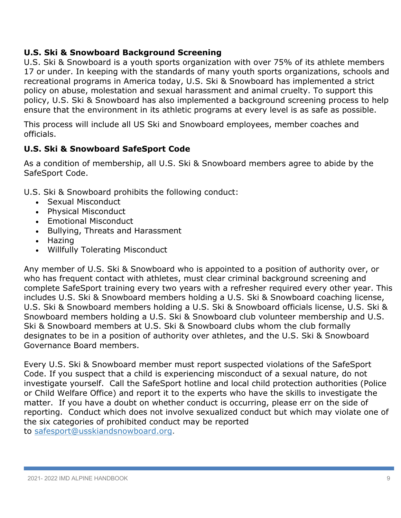# **U.S. Ski & Snowboard Background Screening**

U.S. Ski & Snowboard is a youth sports organization with over 75% of its athlete members 17 or under. In keeping with the standards of many youth sports organizations, schools and recreational programs in America today, U.S. Ski & Snowboard has implemented a strict policy on abuse, molestation and sexual harassment and animal cruelty. To support this policy, U.S. Ski & Snowboard has also implemented a background screening process to help ensure that the environment in its athletic programs at every level is as safe as possible.

This process will include all US Ski and Snowboard employees, member coaches and officials.

# **U.S. Ski & Snowboard SafeSport Code**

As a condition of membership, all U.S. Ski & Snowboard members agree to abide by the SafeSport Code.

U.S. Ski & Snowboard prohibits the following conduct:

- Sexual Misconduct
- Physical Misconduct
- Emotional Misconduct
- Bullying, Threats and Harassment
- Hazing
- Willfully Tolerating Misconduct

Any member of U.S. Ski & Snowboard who is appointed to a position of authority over, or who has frequent contact with athletes, must clear criminal background screening and complete SafeSport training every two years with a refresher required every other year. This includes U.S. Ski & Snowboard members holding a U.S. Ski & Snowboard coaching license, U.S. Ski & Snowboard members holding a U.S. Ski & Snowboard officials license, U.S. Ski & Snowboard members holding a U.S. Ski & Snowboard club volunteer membership and U.S. Ski & Snowboard members at U.S. Ski & Snowboard clubs whom the club formally designates to be in a position of authority over athletes, and the U.S. Ski & Snowboard Governance Board members.

Every U.S. Ski & Snowboard member must report suspected violations of the SafeSport Code. If you suspect that a child is experiencing misconduct of a sexual nature, do not investigate yourself. Call the SafeSport hotline and local child protection authorities (Police or Child Welfare Office) and report it to the experts who have the skills to investigate the matter. If you have a doubt on whether conduct is occurring, please err on the side of reporting. Conduct which does not involve sexualized conduct but which may violate one of the six categories of prohibited conduct may be reported to safesport@usskiandsnowboard.org.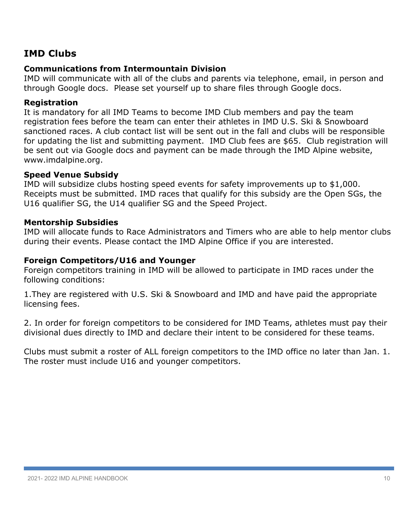# **IMD Clubs**

#### **Communications from Intermountain Division**

IMD will communicate with all of the clubs and parents via telephone, email, in person and through Google docs. Please set yourself up to share files through Google docs.

#### **Registration**

It is mandatory for all IMD Teams to become IMD Club members and pay the team registration fees before the team can enter their athletes in IMD U.S. Ski & Snowboard sanctioned races. A club contact list will be sent out in the fall and clubs will be responsible for updating the list and submitting payment. IMD Club fees are \$65. Club registration will be sent out via Google docs and payment can be made through the IMD Alpine website, www.imdalpine.org.

#### **Speed Venue Subsidy**

IMD will subsidize clubs hosting speed events for safety improvements up to \$1,000. Receipts must be submitted. IMD races that qualify for this subsidy are the Open SGs, the U16 qualifier SG, the U14 qualifier SG and the Speed Project.

# **Mentorship Subsidies**

IMD will allocate funds to Race Administrators and Timers who are able to help mentor clubs during their events. Please contact the IMD Alpine Office if you are interested.

#### **Foreign Competitors/U16 and Younger**

Foreign competitors training in IMD will be allowed to participate in IMD races under the following conditions:

1.They are registered with U.S. Ski & Snowboard and IMD and have paid the appropriate licensing fees.

2. In order for foreign competitors to be considered for IMD Teams, athletes must pay their divisional dues directly to IMD and declare their intent to be considered for these teams.

Clubs must submit a roster of ALL foreign competitors to the IMD office no later than Jan. 1. The roster must include U16 and younger competitors.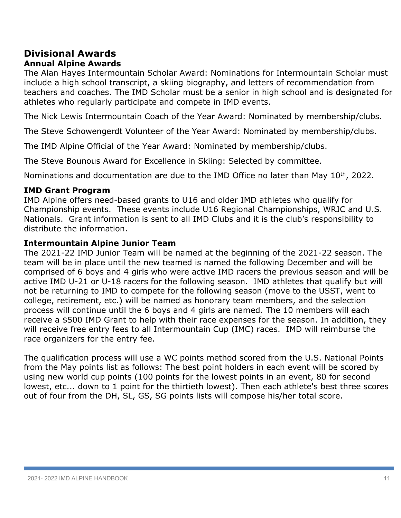# **Divisional Awards**

# **Annual Alpine Awards**

The Alan Hayes Intermountain Scholar Award: Nominations for Intermountain Scholar must include a high school transcript, a skiing biography, and letters of recommendation from teachers and coaches. The IMD Scholar must be a senior in high school and is designated for athletes who regularly participate and compete in IMD events.

The Nick Lewis Intermountain Coach of the Year Award: Nominated by membership/clubs.

The Steve Schowengerdt Volunteer of the Year Award: Nominated by membership/clubs.

The IMD Alpine Official of the Year Award: Nominated by membership/clubs.

The Steve Bounous Award for Excellence in Skiing: Selected by committee.

Nominations and documentation are due to the IMD Office no later than May  $10<sup>th</sup>$ , 2022.

# **IMD Grant Program**

IMD Alpine offers need-based grants to U16 and older IMD athletes who qualify for Championship events. These events include U16 Regional Championships, WRJC and U.S. Nationals. Grant information is sent to all IMD Clubs and it is the club's responsibility to distribute the information.

# **Intermountain Alpine Junior Team**

The 2021-22 IMD Junior Team will be named at the beginning of the 2021-22 season. The team will be in place until the new teamed is named the following December and will be comprised of 6 boys and 4 girls who were active IMD racers the previous season and will be active IMD U-21 or U-18 racers for the following season. IMD athletes that qualify but will not be returning to IMD to compete for the following season (move to the USST, went to college, retirement, etc.) will be named as honorary team members, and the selection process will continue until the 6 boys and 4 girls are named. The 10 members will each receive a \$500 IMD Grant to help with their race expenses for the season. In addition, they will receive free entry fees to all Intermountain Cup (IMC) races. IMD will reimburse the race organizers for the entry fee.

The qualification process will use a WC points method scored from the U.S. National Points from the May points list as follows: The best point holders in each event will be scored by using new world cup points (100 points for the lowest points in an event, 80 for second lowest, etc... down to 1 point for the thirtieth lowest). Then each athlete's best three scores out of four from the DH, SL, GS, SG points lists will compose his/her total score.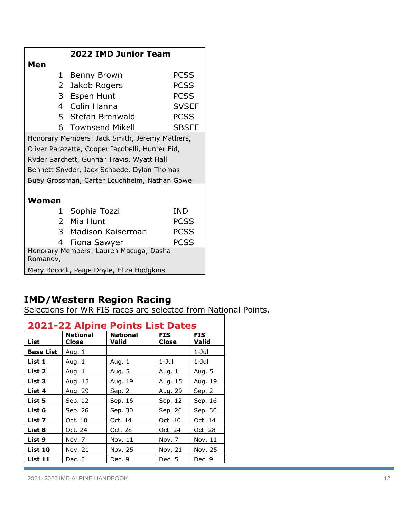|                                                    | 2022 IMD Junior Team                            |              |  |  |
|----------------------------------------------------|-------------------------------------------------|--------------|--|--|
| Men                                                |                                                 |              |  |  |
| 1                                                  | Benny Brown                                     | <b>PCSS</b>  |  |  |
|                                                    | 2 Jakob Rogers                                  | <b>PCSS</b>  |  |  |
|                                                    | 3 Espen Hunt                                    | <b>PCSS</b>  |  |  |
|                                                    | 4 Colin Hanna                                   | <b>SVSEF</b> |  |  |
|                                                    | 5 Stefan Brenwald                               | <b>PCSS</b>  |  |  |
| 6.                                                 | <b>Townsend Mikell</b>                          | <b>SBSEF</b> |  |  |
|                                                    | Honorary Members: Jack Smith, Jeremy Mathers,   |              |  |  |
|                                                    | Oliver Parazette, Cooper Iacobelli, Hunter Eid, |              |  |  |
|                                                    | Ryder Sarchett, Gunnar Travis, Wyatt Hall       |              |  |  |
|                                                    | Bennett Snyder, Jack Schaede, Dylan Thomas      |              |  |  |
|                                                    | Buey Grossman, Carter Louchheim, Nathan Gowe    |              |  |  |
|                                                    |                                                 |              |  |  |
| Women                                              |                                                 |              |  |  |
|                                                    | 1 Sophia Tozzi                                  | <b>IND</b>   |  |  |
|                                                    | 2 Mia Hunt                                      | <b>PCSS</b>  |  |  |
|                                                    | 3 Madison Kaiserman                             | <b>PCSS</b>  |  |  |
|                                                    | 4 Fiona Sawyer                                  | <b>PCSS</b>  |  |  |
| Honorary Members: Lauren Macuga, Dasha<br>Romanov, |                                                 |              |  |  |
| Mary Bocock, Paige Doyle, Eliza Hodgkins           |                                                 |              |  |  |

# **IMD/Western Region Racing**

Selections for WR FIS races are selected from National Points.

| <b>2021-22 Alpine Points List Dates</b> |                          |                   |                     |                     |
|-----------------------------------------|--------------------------|-------------------|---------------------|---------------------|
| List                                    | <b>National</b><br>Close | National<br>Valid | <b>FIS</b><br>Close | <b>FIS</b><br>Valid |
| <b>Base List</b>                        | Aug. 1                   |                   |                     | 1-Jul               |
| List 1                                  | Aug. 1                   | Aug. 1            | $1 -$ Jul           | 1-Jul               |
| List 2                                  | Aug. 1                   | Aug. 5            | Aug. 1              | Aug. 5              |
| List 3                                  | Aug. 15                  | Aug. 19           | Aug. 15             | Aug. 19             |
| List 4                                  | Aug. 29                  | Sep. 2            | Aug. 29             | Sep. 2              |
| List 5                                  | Sep. 12                  | Sep. 16           | Sep. 12             | Sep. 16             |
| List 6                                  | Sep. 26                  | Sep. 30           | Sep. 26             | Sep. 30             |
| List 7                                  | Oct. 10                  | Oct. 14           | Oct. 10             | Oct. 14             |
| List 8                                  | Oct. 24                  | Oct. 28           | Oct. 24             | Oct. 28             |
| List 9                                  | Nov. 7                   | Nov. 11           | Nov. 7              | Nov. 11             |
| List 10                                 | Nov. 21                  | Nov. 25           | Nov. 21             | Nov. 25             |
| List 11                                 | Dec. 5                   | Dec. 9            | Dec. 5              | Dec. 9              |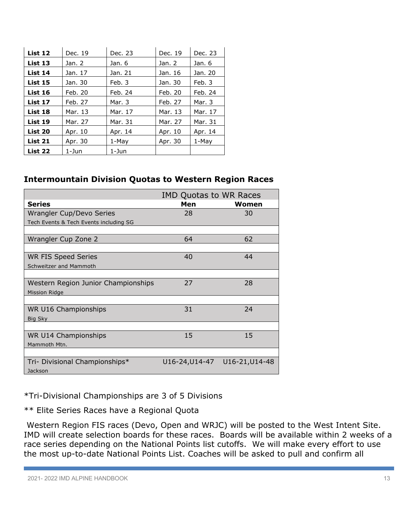| List 12        | Dec. 19 | Dec. 23 | Dec. 19 | Dec. 23 |
|----------------|---------|---------|---------|---------|
| List 13        | Jan. 2  | Jan. 6  | Jan. 2  | Jan. 6  |
| List 14        | Jan. 17 | Jan. 21 | Jan. 16 | Jan. 20 |
| <b>List 15</b> | Jan. 30 | Feb. 3  | Jan. 30 | Feb. 3  |
| List 16        | Feb. 20 | Feb. 24 | Feb. 20 | Feb. 24 |
| List 17        | Feb. 27 | Mar. 3  | Feb. 27 | Mar. 3  |
| List 18        | Mar. 13 | Mar. 17 | Mar. 13 | Mar. 17 |
| List 19        | Mar. 27 | Mar. 31 | Mar. 27 | Mar. 31 |
| List 20        | Apr. 10 | Apr. 14 | Apr. 10 | Apr. 14 |
| List 21        | Apr. 30 | $1-May$ | Apr. 30 | $1-May$ |
| List 22        | 1-Jun   | 1-Jun   |         |         |

#### **Intermountain Division Quotas to Western Region Races**

|                                        | <b>IMD Quotas to WR Races</b> |                               |  |
|----------------------------------------|-------------------------------|-------------------------------|--|
| <b>Series</b>                          | Men                           | Women                         |  |
| <b>Wrangler Cup/Devo Series</b>        | 28                            | 30                            |  |
| Tech Events & Tech Events including SG |                               |                               |  |
|                                        |                               |                               |  |
| Wrangler Cup Zone 2                    | 64                            | 62                            |  |
|                                        |                               | 44                            |  |
| WR FIS Speed Series                    | 40                            |                               |  |
| Schweitzer and Mammoth                 |                               |                               |  |
|                                        |                               |                               |  |
| Western Region Junior Championships    | 27                            | 28                            |  |
| <b>Mission Ridge</b>                   |                               |                               |  |
| <b>WR U16 Championships</b>            | 31                            | 24                            |  |
| <b>Big Sky</b>                         |                               |                               |  |
|                                        |                               |                               |  |
| <b>WR U14 Championships</b>            | 15                            | 15                            |  |
| Mammoth Mtn.                           |                               |                               |  |
|                                        |                               |                               |  |
| Tri- Divisional Championships*         |                               | U16-24, U14-47 U16-21, U14-48 |  |
| Jackson                                |                               |                               |  |

\*Tri-Divisional Championships are 3 of 5 Divisions

\*\* Elite Series Races have a Regional Quota

Western Region FIS races (Devo, Open and WRJC) will be posted to the West Intent Site. IMD will create selection boards for these races. Boards will be available within 2 weeks of a race series depending on the National Points list cutoffs. We will make every effort to use the most up-to-date National Points List. Coaches will be asked to pull and confirm all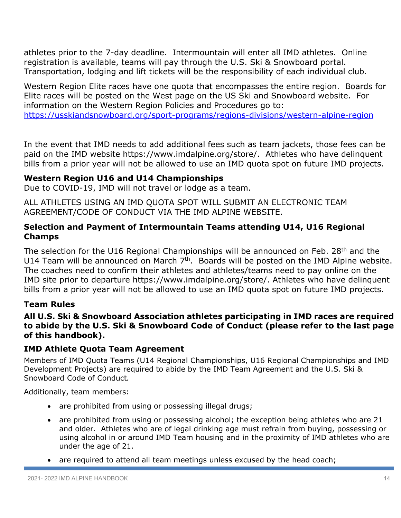athletes prior to the 7-day deadline. Intermountain will enter all IMD athletes. Online registration is available, teams will pay through the U.S. Ski & Snowboard portal. Transportation, lodging and lift tickets will be the responsibility of each individual club.

Western Region Elite races have one quota that encompasses the entire region. Boards for Elite races will be posted on the West page on the US Ski and Snowboard website. For information on the Western Region Policies and Procedures go to: https://usskiandsnowboard.org/sport-programs/regions-divisions/western-alpine-region

In the event that IMD needs to add additional fees such as team jackets, those fees can be paid on the IMD website https://www.imdalpine.org/store/. Athletes who have delinquent bills from a prior year will not be allowed to use an IMD quota spot on future IMD projects.

# **Western Region U16 and U14 Championships**

Due to COVID-19, IMD will not travel or lodge as a team.

ALL ATHLETES USING AN IMD QUOTA SPOT WILL SUBMIT AN ELECTRONIC TEAM AGREEMENT/CODE OF CONDUCT VIA THE IMD ALPINE WEBSITE.

# **Selection and Payment of Intermountain Teams attending U14, U16 Regional Champs**

The selection for the U16 Regional Championships will be announced on Feb. 28<sup>th</sup> and the U14 Team will be announced on March  $7<sup>th</sup>$ . Boards will be posted on the IMD Alpine website. The coaches need to confirm their athletes and athletes/teams need to pay online on the IMD site prior to departure https://www.imdalpine.org/store/. Athletes who have delinquent bills from a prior year will not be allowed to use an IMD quota spot on future IMD projects.

# **Team Rules**

#### **All U.S. Ski & Snowboard Association athletes participating in IMD races are required to abide by the U.S. Ski & Snowboard Code of Conduct (please refer to the last page of this handbook).**

# **IMD Athlete Quota Team Agreement**

Members of IMD Quota Teams (U14 Regional Championships, U16 Regional Championships and IMD Development Projects) are required to abide by the IMD Team Agreement and the U.S. Ski & Snowboard Code of Conduct*.*

Additionally, team members:

- are prohibited from using or possessing illegal drugs;
- are prohibited from using or possessing alcohol; the exception being athletes who are 21 and older. Athletes who are of legal drinking age must refrain from buying, possessing or using alcohol in or around IMD Team housing and in the proximity of IMD athletes who are under the age of 21.
- are required to attend all team meetings unless excused by the head coach;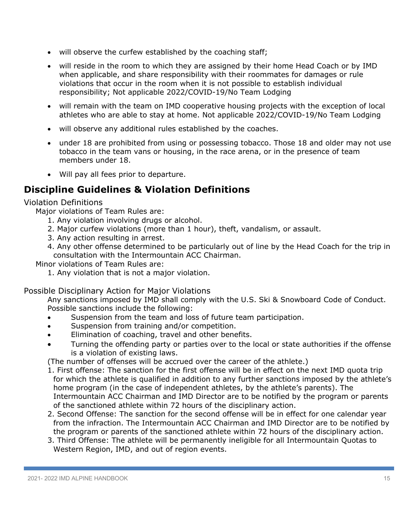- will observe the curfew established by the coaching staff;
- will reside in the room to which they are assigned by their home Head Coach or by IMD when applicable, and share responsibility with their roommates for damages or rule violations that occur in the room when it is not possible to establish individual responsibility; Not applicable 2022/COVID-19/No Team Lodging
- will remain with the team on IMD cooperative housing projects with the exception of local athletes who are able to stay at home. Not applicable 2022/COVID-19/No Team Lodging
- will observe any additional rules established by the coaches.
- under 18 are prohibited from using or possessing tobacco. Those 18 and older may not use tobacco in the team vans or housing, in the race arena, or in the presence of team members under 18.
- Will pay all fees prior to departure.

# **Discipline Guidelines & Violation Definitions**

#### Violation Definitions

Major violations of Team Rules are:

- 1. Any violation involving drugs or alcohol.
- 2. Major curfew violations (more than 1 hour), theft, vandalism, or assault.
- 3. Any action resulting in arrest.
- 4. Any other offense determined to be particularly out of line by the Head Coach for the trip in consultation with the Intermountain ACC Chairman.

Minor violations of Team Rules are:

1. Any violation that is not a major violation.

#### Possible Disciplinary Action for Major Violations

Any sanctions imposed by IMD shall comply with the U.S. Ski & Snowboard Code of Conduct. Possible sanctions include the following:

- Suspension from the team and loss of future team participation.
- Suspension from training and/or competition.
- Elimination of coaching, travel and other benefits.
- Turning the offending party or parties over to the local or state authorities if the offense is a violation of existing laws.

(The number of offenses will be accrued over the career of the athlete.)

- 1. First offense: The sanction for the first offense will be in effect on the next IMD quota trip for which the athlete is qualified in addition to any further sanctions imposed by the athlete's home program (in the case of independent athletes, by the athlete's parents). The Intermountain ACC Chairman and IMD Director are to be notified by the program or parents of the sanctioned athlete within 72 hours of the disciplinary action.
- 2. Second Offense: The sanction for the second offense will be in effect for one calendar year from the infraction. The Intermountain ACC Chairman and IMD Director are to be notified by the program or parents of the sanctioned athlete within 72 hours of the disciplinary action.
- 3. Third Offense: The athlete will be permanently ineligible for all Intermountain Quotas to Western Region, IMD, and out of region events.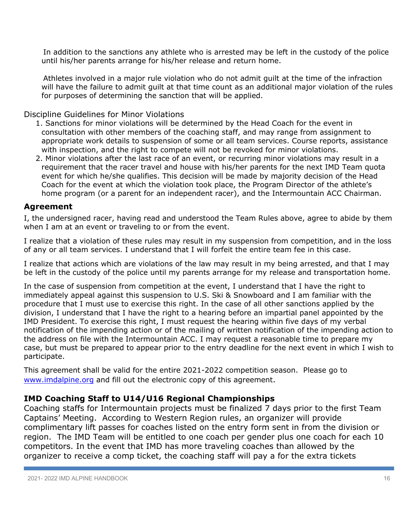In addition to the sanctions any athlete who is arrested may be left in the custody of the police until his/her parents arrange for his/her release and return home.

 Athletes involved in a major rule violation who do not admit guilt at the time of the infraction will have the failure to admit guilt at that time count as an additional major violation of the rules for purposes of determining the sanction that will be applied.

Discipline Guidelines for Minor Violations

- 1. Sanctions for minor violations will be determined by the Head Coach for the event in consultation with other members of the coaching staff, and may range from assignment to appropriate work details to suspension of some or all team services. Course reports, assistance with inspection, and the right to compete will not be revoked for minor violations.
- 2. Minor violations after the last race of an event, or recurring minor violations may result in a requirement that the racer travel and house with his/her parents for the next IMD Team quota event for which he/she qualifies. This decision will be made by majority decision of the Head Coach for the event at which the violation took place, the Program Director of the athlete's home program (or a parent for an independent racer), and the Intermountain ACC Chairman.

#### **Agreement**

I, the undersigned racer, having read and understood the Team Rules above, agree to abide by them when I am at an event or traveling to or from the event.

I realize that a violation of these rules may result in my suspension from competition, and in the loss of any or all team services. I understand that I will forfeit the entire team fee in this case.

I realize that actions which are violations of the law may result in my being arrested, and that I may be left in the custody of the police until my parents arrange for my release and transportation home.

In the case of suspension from competition at the event, I understand that I have the right to immediately appeal against this suspension to U.S. Ski & Snowboard and I am familiar with the procedure that I must use to exercise this right. In the case of all other sanctions applied by the division, I understand that I have the right to a hearing before an impartial panel appointed by the IMD President. To exercise this right, I must request the hearing within five days of my verbal notification of the impending action or of the mailing of written notification of the impending action to the address on file with the Intermountain ACC. I may request a reasonable time to prepare my case, but must be prepared to appear prior to the entry deadline for the next event in which I wish to participate.

This agreement shall be valid for the entire 2021-2022 competition season. Please go to www.imdalpine.org and fill out the electronic copy of this agreement.

# **IMD Coaching Staff to U14/U16 Regional Championships**

Coaching staffs for Intermountain projects must be finalized 7 days prior to the first Team Captains' Meeting. According to Western Region rules, an organizer will provide complimentary lift passes for coaches listed on the entry form sent in from the division or region. The IMD Team will be entitled to one coach per gender plus one coach for each 10 competitors. In the event that IMD has more traveling coaches than allowed by the organizer to receive a comp ticket, the coaching staff will pay a for the extra tickets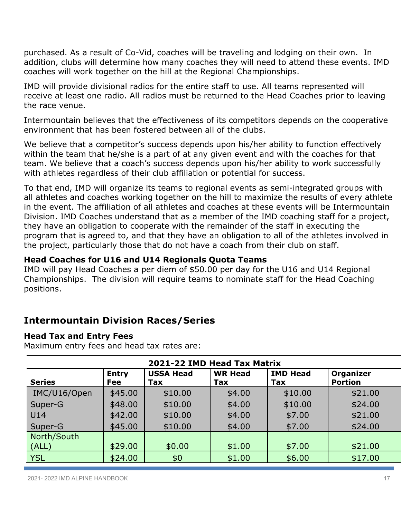purchased. As a result of Co-Vid, coaches will be traveling and lodging on their own. In addition, clubs will determine how many coaches they will need to attend these events. IMD coaches will work together on the hill at the Regional Championships.

IMD will provide divisional radios for the entire staff to use. All teams represented will receive at least one radio. All radios must be returned to the Head Coaches prior to leaving the race venue.

Intermountain believes that the effectiveness of its competitors depends on the cooperative environment that has been fostered between all of the clubs.

We believe that a competitor's success depends upon his/her ability to function effectively within the team that he/she is a part of at any given event and with the coaches for that team. We believe that a coach's success depends upon his/her ability to work successfully with athletes regardless of their club affiliation or potential for success.

To that end, IMD will organize its teams to regional events as semi-integrated groups with all athletes and coaches working together on the hill to maximize the results of every athlete in the event. The affiliation of all athletes and coaches at these events will be Intermountain Division. IMD Coaches understand that as a member of the IMD coaching staff for a project, they have an obligation to cooperate with the remainder of the staff in executing the program that is agreed to, and that they have an obligation to all of the athletes involved in the project, particularly those that do not have a coach from their club on staff.

# **Head Coaches for U16 and U14 Regionals Quota Teams**

IMD will pay Head Coaches a per diem of \$50.00 per day for the U16 and U14 Regional Championships. The division will require teams to nominate staff for the Head Coaching positions.

# **Intermountain Division Races/Series**

#### **Head Tax and Entry Fees**

Maximum entry fees and head tax rates are:

| 2021-22 IMD Head Tax Matrix |                     |                         |                       |                        |                                    |
|-----------------------------|---------------------|-------------------------|-----------------------|------------------------|------------------------------------|
| <b>Series</b>               | <b>Entry</b><br>Fee | <b>USSA Head</b><br>Tax | <b>WR Head</b><br>Tax | <b>IMD Head</b><br>Tax | <b>Organizer</b><br><b>Portion</b> |
| IMC/U16/Open                | \$45.00             | \$10.00                 | \$4.00                | \$10.00                | \$21.00                            |
| Super-G                     | \$48.00             | \$10.00                 | \$4.00                | \$10.00                | \$24.00                            |
| U14                         | \$42.00             | \$10.00                 | \$4.00                | \$7.00                 | \$21.00                            |
| Super-G                     | \$45.00             | \$10.00                 | \$4.00                | \$7.00                 | \$24.00                            |
| North/South                 |                     |                         |                       |                        |                                    |
| (ALL)                       | \$29.00             | \$0.00                  | \$1.00                | \$7.00                 | \$21.00                            |
| <b>YSL</b>                  | \$24.00             | \$0                     | \$1.00                | \$6.00                 | \$17.00                            |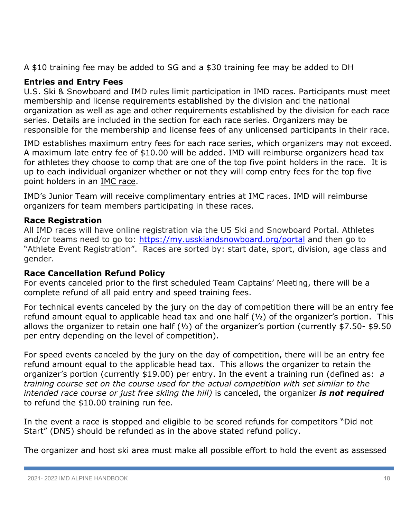A \$10 training fee may be added to SG and a \$30 training fee may be added to DH

# **Entries and Entry Fees**

U.S. Ski & Snowboard and IMD rules limit participation in IMD races. Participants must meet membership and license requirements established by the division and the national organization as well as age and other requirements established by the division for each race series. Details are included in the section for each race series. Organizers may be responsible for the membership and license fees of any unlicensed participants in their race.

IMD establishes maximum entry fees for each race series, which organizers may not exceed. A maximum late entry fee of \$10.00 will be added. IMD will reimburse organizers head tax for athletes they choose to comp that are one of the top five point holders in the race. It is up to each individual organizer whether or not they will comp entry fees for the top five point holders in an IMC race.

IMD's Junior Team will receive complimentary entries at IMC races. IMD will reimburse organizers for team members participating in these races.

# **Race Registration**

All IMD races will have online registration via the US Ski and Snowboard Portal. Athletes and/or teams need to go to: https://my.usskiandsnowboard.org/portal and then go to "Athlete Event Registration". Races are sorted by: start date, sport, division, age class and gender.

# **Race Cancellation Refund Policy**

For events canceled prior to the first scheduled Team Captains' Meeting, there will be a complete refund of all paid entry and speed training fees.

For technical events canceled by the jury on the day of competition there will be an entry fee refund amount equal to applicable head tax and one half  $(1/2)$  of the organizer's portion. This allows the organizer to retain one half (½) of the organizer's portion (currently \$7.50- \$9.50 per entry depending on the level of competition).

For speed events canceled by the jury on the day of competition, there will be an entry fee refund amount equal to the applicable head tax. This allows the organizer to retain the organizer's portion (currently \$19.00) per entry. In the event a training run (defined as: *a training course set on the course used for the actual competition with set similar to the intended race course or just free skiing the hill)* is canceled, the organizer *is not required* to refund the \$10.00 training run fee.

In the event a race is stopped and eligible to be scored refunds for competitors "Did not Start" (DNS) should be refunded as in the above stated refund policy.

The organizer and host ski area must make all possible effort to hold the event as assessed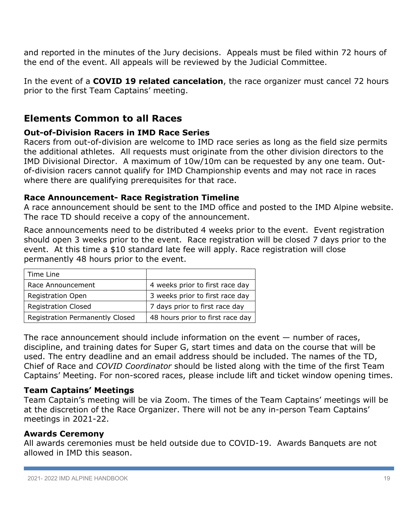and reported in the minutes of the Jury decisions. Appeals must be filed within 72 hours of the end of the event. All appeals will be reviewed by the Judicial Committee.

In the event of a **COVID 19 related cancelation**, the race organizer must cancel 72 hours prior to the first Team Captains' meeting.

# **Elements Common to all Races**

# **Out-of-Division Racers in IMD Race Series**

Racers from out-of-division are welcome to IMD race series as long as the field size permits the additional athletes. All requests must originate from the other division directors to the IMD Divisional Director. A maximum of 10w/10m can be requested by any one team. Outof-division racers cannot qualify for IMD Championship events and may not race in races where there are qualifying prerequisites for that race.

# **Race Announcement- Race Registration Timeline**

A race announcement should be sent to the IMD office and posted to the IMD Alpine website. The race TD should receive a copy of the announcement.

Race announcements need to be distributed 4 weeks prior to the event. Event registration should open 3 weeks prior to the event. Race registration will be closed 7 days prior to the event. At this time a \$10 standard late fee will apply. Race registration will close permanently 48 hours prior to the event.

| Time Line                              |                                  |
|----------------------------------------|----------------------------------|
| Race Announcement                      | 4 weeks prior to first race day  |
| <b>Registration Open</b>               | 3 weeks prior to first race day  |
| <b>Registration Closed</b>             | 7 days prior to first race day   |
| <b>Registration Permanently Closed</b> | 48 hours prior to first race day |

The race announcement should include information on the event — number of races, discipline, and training dates for Super G, start times and data on the course that will be used. The entry deadline and an email address should be included. The names of the TD, Chief of Race and *COVID Coordinator* should be listed along with the time of the first Team Captains' Meeting. For non-scored races, please include lift and ticket window opening times.

# **Team Captains' Meetings**

Team Captain's meeting will be via Zoom. The times of the Team Captains' meetings will be at the discretion of the Race Organizer. There will not be any in-person Team Captains' meetings in 2021-22.

# **Awards Ceremony**

All awards ceremonies must be held outside due to COVID-19. Awards Banquets are not allowed in IMD this season.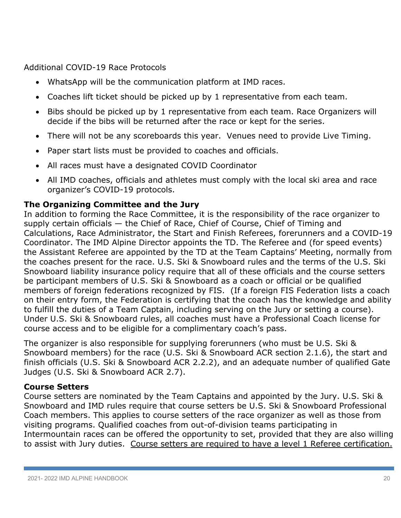Additional COVID-19 Race Protocols

- WhatsApp will be the communication platform at IMD races.
- Coaches lift ticket should be picked up by 1 representative from each team.
- Bibs should be picked up by 1 representative from each team. Race Organizers will decide if the bibs will be returned after the race or kept for the series.
- There will not be any scoreboards this year. Venues need to provide Live Timing.
- Paper start lists must be provided to coaches and officials.
- All races must have a designated COVID Coordinator
- All IMD coaches, officials and athletes must comply with the local ski area and race organizer's COVID-19 protocols.

# **The Organizing Committee and the Jury**

In addition to forming the Race Committee, it is the responsibility of the race organizer to supply certain officials — the Chief of Race, Chief of Course, Chief of Timing and Calculations, Race Administrator, the Start and Finish Referees, forerunners and a COVID-19 Coordinator. The IMD Alpine Director appoints the TD. The Referee and (for speed events) the Assistant Referee are appointed by the TD at the Team Captains' Meeting, normally from the coaches present for the race. U.S. Ski & Snowboard rules and the terms of the U.S. Ski Snowboard liability insurance policy require that all of these officials and the course setters be participant members of U.S. Ski & Snowboard as a coach or official or be qualified members of foreign federations recognized by FIS. (If a foreign FIS Federation lists a coach on their entry form, the Federation is certifying that the coach has the knowledge and ability to fulfill the duties of a Team Captain, including serving on the Jury or setting a course). Under U.S. Ski & Snowboard rules, all coaches must have a Professional Coach license for course access and to be eligible for a complimentary coach's pass.

The organizer is also responsible for supplying forerunners (who must be U.S. Ski & Snowboard members) for the race (U.S. Ski & Snowboard ACR section 2.1.6), the start and finish officials (U.S. Ski & Snowboard ACR 2.2.2), and an adequate number of qualified Gate Judges (U.S. Ski & Snowboard ACR 2.7).

# **Course Setters**

Course setters are nominated by the Team Captains and appointed by the Jury. U.S. Ski & Snowboard and IMD rules require that course setters be U.S. Ski & Snowboard Professional Coach members. This applies to course setters of the race organizer as well as those from visiting programs. Qualified coaches from out-of-division teams participating in Intermountain races can be offered the opportunity to set, provided that they are also willing to assist with Jury duties. Course setters are required to have a level 1 Referee certification.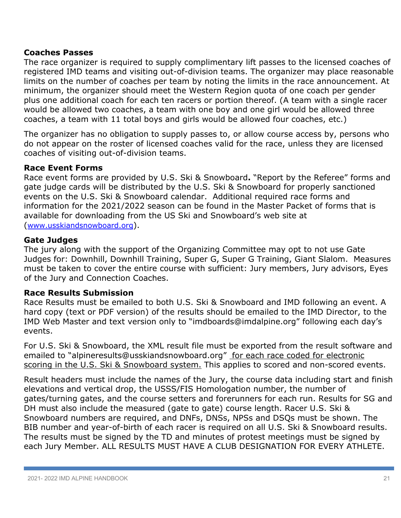# **Coaches Passes**

The race organizer is required to supply complimentary lift passes to the licensed coaches of registered IMD teams and visiting out-of-division teams. The organizer may place reasonable limits on the number of coaches per team by noting the limits in the race announcement. At minimum, the organizer should meet the Western Region quota of one coach per gender plus one additional coach for each ten racers or portion thereof. (A team with a single racer would be allowed two coaches, a team with one boy and one girl would be allowed three coaches, a team with 11 total boys and girls would be allowed four coaches, etc.)

The organizer has no obligation to supply passes to, or allow course access by, persons who do not appear on the roster of licensed coaches valid for the race, unless they are licensed coaches of visiting out-of-division teams.

# **Race Event Forms**

Race event forms are provided by U.S. Ski & Snowboard**.** "Report by the Referee" forms and gate judge cards will be distributed by the U.S. Ski & Snowboard for properly sanctioned events on the U.S. Ski & Snowboard calendar. Additional required race forms and information for the 2021/2022 season can be found in the Master Packet of forms that is available for downloading from the US Ski and Snowboard's web site at (www.usskiandsnowboard.org).

# **Gate Judges**

The jury along with the support of the Organizing Committee may opt to not use Gate Judges for: Downhill, Downhill Training, Super G, Super G Training, Giant Slalom. Measures must be taken to cover the entire course with sufficient: Jury members, Jury advisors, Eyes of the Jury and Connection Coaches.

# **Race Results Submission**

Race Results must be emailed to both U.S. Ski & Snowboard and IMD following an event. A hard copy (text or PDF version) of the results should be emailed to the IMD Director, to the IMD Web Master and text version only to "imdboards@imdalpine.org" following each day's events.

For U.S. Ski & Snowboard, the XML result file must be exported from the result software and emailed to "alpineresults@usskiandsnowboard.org" for each race coded for electronic scoring in the U.S. Ski & Snowboard system. This applies to scored and non-scored events.

Result headers must include the names of the Jury, the course data including start and finish elevations and vertical drop, the USSS/FIS Homologation number, the number of gates/turning gates, and the course setters and forerunners for each run. Results for SG and DH must also include the measured (gate to gate) course length. Racer U.S. Ski & Snowboard numbers are required, and DNFs, DNSs, NPSs and DSQs must be shown. The BIB number and year-of-birth of each racer is required on all U.S. Ski & Snowboard results. The results must be signed by the TD and minutes of protest meetings must be signed by each Jury Member. ALL RESULTS MUST HAVE A CLUB DESIGNATION FOR EVERY ATHLETE.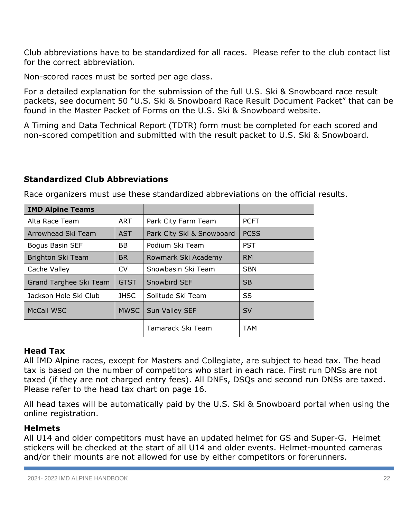Club abbreviations have to be standardized for all races. Please refer to the club contact list for the correct abbreviation.

Non-scored races must be sorted per age class.

For a detailed explanation for the submission of the full U.S. Ski & Snowboard race result packets, see document 50 "U.S. Ski & Snowboard Race Result Document Packet" that can be found in the Master Packet of Forms on the U.S. Ski & Snowboard website.

A Timing and Data Technical Report (TDTR) form must be completed for each scored and non-scored competition and submitted with the result packet to U.S. Ski & Snowboard.

# **Standardized Club Abbreviations**

Race organizers must use these standardized abbreviations on the official results.

| <b>IMD Alpine Teams</b> |             |                           |             |
|-------------------------|-------------|---------------------------|-------------|
| Alta Race Team          | ART         | Park City Farm Team       | <b>PCFT</b> |
| Arrowhead Ski Team      | <b>AST</b>  | Park City Ski & Snowboard | <b>PCSS</b> |
| Bogus Basin SEF         | <b>BB</b>   | Podium Ski Team           | <b>PST</b>  |
| Brighton Ski Team       | <b>BR</b>   | Rowmark Ski Academy       | <b>RM</b>   |
| Cache Valley            | <b>CV</b>   | Snowbasin Ski Team        | <b>SBN</b>  |
| Grand Targhee Ski Team  | <b>GTST</b> | Snowbird SEF              | <b>SB</b>   |
| Jackson Hole Ski Club   | <b>JHSC</b> | Solitude Ski Team         | SS          |
| McCall WSC              | <b>MWSC</b> | Sun Valley SEF            | <b>SV</b>   |
|                         |             | Tamarack Ski Team         | <b>TAM</b>  |

# **Head Tax**

All IMD Alpine races, except for Masters and Collegiate, are subject to head tax. The head tax is based on the number of competitors who start in each race. First run DNSs are not taxed (if they are not charged entry fees). All DNFs, DSQs and second run DNSs are taxed. Please refer to the head tax chart on page 16.

All head taxes will be automatically paid by the U.S. Ski & Snowboard portal when using the online registration.

# **Helmets**

All U14 and older competitors must have an updated helmet for GS and Super-G. Helmet stickers will be checked at the start of all U14 and older events. Helmet-mounted cameras and/or their mounts are not allowed for use by either competitors or forerunners.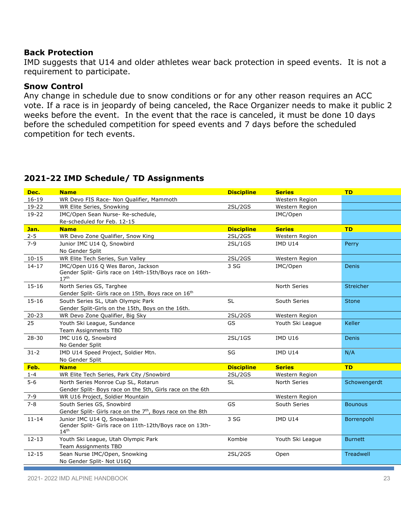#### **Back Protection**

IMD suggests that U14 and older athletes wear back protection in speed events. It is not a requirement to participate.

#### **Snow Control**

Any change in schedule due to snow conditions or for any other reason requires an ACC vote. If a race is in jeopardy of being canceled, the Race Organizer needs to make it public 2 weeks before the event. In the event that the race is canceled, it must be done 10 days before the scheduled competition for speed events and 7 days before the scheduled competition for tech events.

# **2021-22 IMD Schedule/ TD Assignments**

| Dec.      | <b>Name</b>                                                                                   | <b>Discipline</b> | <b>Series</b>    | <b>TD</b>      |
|-----------|-----------------------------------------------------------------------------------------------|-------------------|------------------|----------------|
| $16 - 19$ | WR Devo FIS Race- Non Qualifier, Mammoth                                                      |                   | Western Region   |                |
| $19-22$   | WR Elite Series, Snowking                                                                     | 2SL/2GS           | Western Region   |                |
| $19 - 22$ | IMC/Open Sean Nurse-Re-schedule,                                                              |                   | IMC/Open         |                |
|           | Re-scheduled for Feb. 12-15                                                                   |                   |                  |                |
| Jan.      | <b>Name</b>                                                                                   | <b>Discipline</b> | <b>Series</b>    | <b>TD</b>      |
| $2 - 5$   | WR Devo Zone Qualifier, Snow King                                                             | 2SL/2GS           | Western Region   |                |
| $7 - 9$   | Junior IMC U14 Q, Snowbird                                                                    | 2SL/1GS           | <b>IMD U14</b>   | Perry          |
|           | No Gender Split                                                                               |                   |                  |                |
| $10 - 15$ | WR Elite Tech Series, Sun Valley                                                              | 2SL/2GS           | Western Region   |                |
| $14 - 17$ | IMC/Open U16 Q Wes Baron, Jackson<br>Gender Split- Girls race on 14th-15th/Boys race on 16th- | 3 SG              | IMC/Open         | Denis          |
|           | 17 <sup>th</sup>                                                                              |                   |                  |                |
| $15 - 16$ | North Series GS, Targhee                                                                      |                   | North Series     | Streicher      |
|           | Gender Split- Girls race on 15th, Boys race on 16th                                           |                   |                  |                |
| $15 - 16$ | South Series SL, Utah Olympic Park                                                            | <b>SL</b>         | South Series     | <b>Stone</b>   |
|           | Gender Split-Girls on the 15th, Boys on the 16th.                                             |                   |                  |                |
| $20 - 23$ | WR Devo Zone Qualifier, Big Sky                                                               | 2SL/2GS           | Western Region   |                |
| 25        | Youth Ski League, Sundance                                                                    | GS                | Youth Ski League | Keller         |
|           | Team Assignments TBD                                                                          |                   |                  |                |
| $28 - 30$ | IMC U16 Q, Snowbird                                                                           | 2SL/1GS           | <b>IMD U16</b>   | Denis          |
|           | No Gender Split                                                                               |                   |                  |                |
| $31 - 2$  | IMD U14 Speed Project, Soldier Mtn.                                                           | SG                | <b>IMD U14</b>   | N/A            |
|           | No Gender Split                                                                               |                   |                  |                |
| Feb.      | <b>Name</b>                                                                                   | <b>Discipline</b> | <b>Series</b>    | <b>TD</b>      |
| $1 - 4$   | WR Elite Tech Series, Park City / Snowbird                                                    | 2SL/2GS           | Western Region   |                |
| $5 - 6$   | North Series Monroe Cup SL, Rotarun                                                           | <b>SL</b>         | North Series     | Schowengerdt   |
|           | Gender Split- Boys race on the 5th, Girls race on the 6th                                     |                   |                  |                |
| $7 - 9$   | WR U16 Project, Soldier Mountain                                                              |                   | Western Region   |                |
| $7 - 8$   | South Series GS, Snowbird                                                                     | GS                | South Series     | <b>Bounous</b> |
|           | Gender Split- Girls race on the 7 <sup>th</sup> , Boys race on the 8th                        |                   |                  |                |
| $11 - 14$ | Junior IMC U14 Q, Snowbasin                                                                   | 3 SG              | IMD U14          | Borrenpohl     |
|           | Gender Split- Girls race on 11th-12th/Boys race on 13th-<br>14 <sup>th</sup>                  |                   |                  |                |
| $12 - 13$ | Youth Ski League, Utah Olympic Park                                                           | Kombie            | Youth Ski League | <b>Burnett</b> |
|           | Team Assignments TBD                                                                          |                   |                  |                |
| $12 - 15$ | Sean Nurse IMC/Open, Snowking                                                                 | 2SL/2GS           | Open             | Treadwell      |
|           | No Gender Split- Not U16Q                                                                     |                   |                  |                |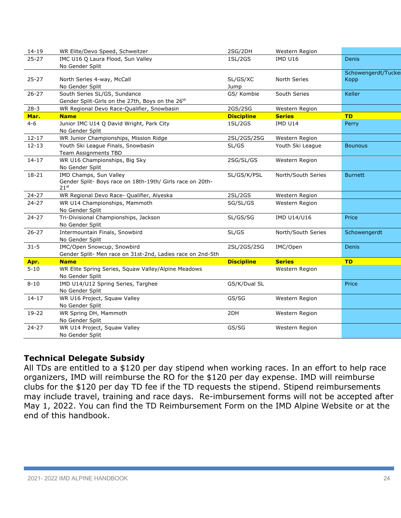| $14 - 19$ | WR Elite/Devo Speed, Schweitzer                            | 2SG/2DH           | Western Region     |                    |
|-----------|------------------------------------------------------------|-------------------|--------------------|--------------------|
| $25 - 27$ | IMC U16 Q Laura Flood, Sun Valley                          | 1SL/2GS           | <b>IMD U16</b>     | <b>Denis</b>       |
|           | No Gender Split                                            |                   |                    |                    |
|           |                                                            |                   |                    | Schowengerdt/Tucke |
| $25 - 27$ | North Series 4-way, McCall                                 | SL/GS/XC          | North Series       | <b>Kopp</b>        |
|           | No Gender Split                                            | Jump              |                    |                    |
| $26 - 27$ | South Series SL/GS, Sundance                               | GS/ Kombie        | South Series       | Keller             |
|           | Gender Split-Girls on the 27th, Boys on the 26th           |                   |                    |                    |
| $28 - 3$  | WR Regional Devo Race-Qualifier, Snowbasin                 | 2GS/2SG           | Western Region     |                    |
| Mar.      | <b>Name</b>                                                | <b>Discipline</b> | <b>Series</b>      | <b>TD</b>          |
| $4 - 6$   | Junior IMC U14 Q David Wright, Park City                   | 1SL/2GS           | <b>IMD U14</b>     | Perry              |
|           | No Gender Split                                            |                   |                    |                    |
| $12 - 17$ | WR Junior Championships, Mission Ridge                     | 2SL/2GS/2SG       | Western Region     |                    |
| $12 - 13$ | Youth Ski League Finals, Snowbasin                         | SL/GS             | Youth Ski League   | <b>Bounous</b>     |
|           | Team Assignments TBD                                       |                   |                    |                    |
| $14 - 17$ | WR U16 Championships, Big Sky                              | 2SG/SL/GS         | Western Region     |                    |
|           | No Gender Split                                            |                   |                    |                    |
| $18 - 21$ | IMD Champs, Sun Valley                                     | SL/GS/K/PSL       | North/South Series | <b>Burnett</b>     |
|           | Gender Split- Boys race on 18th-19th/ Girls race on 20th-  |                   |                    |                    |
|           | $21^{\rm st}$                                              |                   |                    |                    |
| $24 - 27$ | WR Regional Devo Race- Qualifier, Alyeska                  | 2SL/2GS           | Western Region     |                    |
| $24 - 27$ | WR U14 Championships, Mammoth                              | SG/SL/GS          | Western Region     |                    |
|           | No Gender Split                                            |                   |                    |                    |
| $24 - 27$ | Tri-Divisional Championships, Jackson                      | SL/GS/SG          | IMD U14/U16        | Price              |
|           | No Gender Split                                            |                   |                    |                    |
| $26 - 27$ | Intermountain Finals, Snowbird                             | SL/GS             | North/South Series | Schowengerdt       |
|           | No Gender Split                                            |                   |                    |                    |
| $31 - 5$  | IMC/Open Snowcup, Snowbird                                 | 2SL/2GS/2SG       | IMC/Open           | Denis              |
|           | Gender Split- Men race on 31st-2nd, Ladies race on 2nd-5th |                   |                    |                    |
| Apr.      | <b>Name</b>                                                | <b>Discipline</b> | <b>Series</b>      | <b>TD</b>          |
| $5 - 10$  | WR Elite Spring Series, Squaw Valley/Alpine Meadows        |                   | Western Region     |                    |
|           | No Gender Split                                            |                   |                    |                    |
| $8 - 10$  | IMD U14/U12 Spring Series, Targhee                         | GS/K/Dual SL      |                    | Price              |
|           | No Gender Split                                            |                   |                    |                    |
| $14 - 17$ | WR U16 Project, Squaw Valley                               | GS/SG             | Western Region     |                    |
|           | No Gender Split                                            |                   |                    |                    |
| 19-22     | WR Spring DH, Mammoth                                      | 2DH               | Western Region     |                    |
|           | No Gender Split                                            |                   |                    |                    |
| $24 - 27$ | WR U14 Project, Squaw Valley                               | GS/SG             | Western Region     |                    |
|           | No Gender Split                                            |                   |                    |                    |

# **Technical Delegate Subsidy**

All TDs are entitled to a \$120 per day stipend when working races. In an effort to help race organizers, IMD will reimburse the RO for the \$120 per day expense. IMD will reimburse clubs for the \$120 per day TD fee if the TD requests the stipend. Stipend reimbursements may include travel, training and race days. Re-imbursement forms will not be accepted after May 1, 2022. You can find the TD Reimbursement Form on the IMD Alpine Website or at the end of this handbook.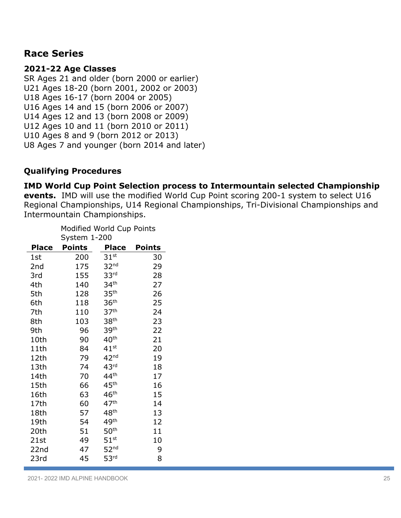# **Race Series**

# **2021-22 Age Classes**

SR Ages 21 and older (born 2000 or earlier) U21 Ages 18-20 (born 2001, 2002 or 2003) U18 Ages 16-17 (born 2004 or 2005) U16 Ages 14 and 15 (born 2006 or 2007) U14 Ages 12 and 13 (born 2008 or 2009) U12 Ages 10 and 11 (born 2010 or 2011) U10 Ages 8 and 9 (born 2012 or 2013) U8 Ages 7 and younger (born 2014 and later)

# **Qualifying Procedures**

# **IMD World Cup Point Selection process to Intermountain selected Championship**

**events.** IMD will use the modified World Cup Point scoring 200-1 system to select U16 Regional Championships, U14 Regional Championships, Tri-Divisional Championships and Intermountain Championships.

|              | Modified World Cup Points<br>System 1-200 |                  |               |  |
|--------------|-------------------------------------------|------------------|---------------|--|
| <b>Place</b> | <b>Points</b>                             | <b>Place</b>     | <b>Points</b> |  |
| 1st          | 200                                       | $31^{\rm st}$    | 30            |  |
| 2nd          | 175                                       | 32 <sup>nd</sup> | 29            |  |
| 3rd          | 155                                       | 33 <sup>rd</sup> | 28            |  |
| 4th          | 140                                       | 34 <sup>th</sup> | 27            |  |
| 5th          | 128                                       | 35 <sup>th</sup> | 26            |  |
| 6th          | 118                                       | 36 <sup>th</sup> | 25            |  |
| 7th          | 110                                       | 37 <sup>th</sup> | 24            |  |
| 8th          | 103                                       | 38 <sup>th</sup> | 23            |  |
| 9th          | 96                                        | 39 <sup>th</sup> | 22            |  |
| 10th         | 90                                        | $40^{\sf th}$    | 21            |  |
| 11th         | 84                                        | $41^{\rm st}$    | 20            |  |
| 12th         | 79                                        | 42 <sup>nd</sup> | 19            |  |
| 13th         | 74                                        | 43 <sup>rd</sup> | 18            |  |
| 14th         | 70                                        | 44 <sup>th</sup> | 17            |  |
| 15th         | 66                                        | 45 <sup>th</sup> | 16            |  |
| 16th         | 63                                        | 46 <sup>th</sup> | 15            |  |
| 17th         | 60                                        | 47 <sup>th</sup> | 14            |  |
| 18th         | 57                                        | 48 <sup>th</sup> | 13            |  |
| 19th         | 54                                        | 49 <sup>th</sup> | 12            |  |
| 20th         | 51                                        | 50 <sup>th</sup> | 11            |  |
| 21st         | 49                                        | $51^{\rm st}$    | 10            |  |
| 22nd         | 47                                        | 52 <sup>nd</sup> | 9             |  |
| 23rd         | 45                                        | 53 <sup>rd</sup> | 8             |  |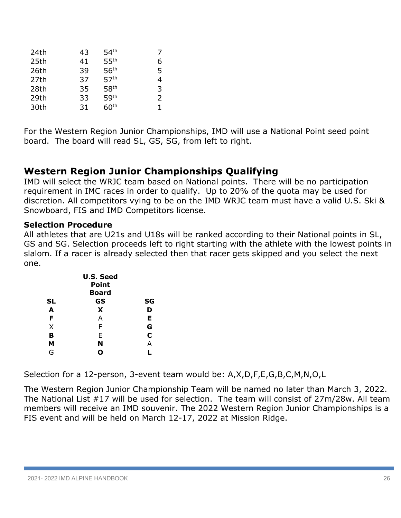| 24th | 43 | 54 <sup>th</sup> | 7 |
|------|----|------------------|---|
| 25th | 41 | 55 <sup>th</sup> | 6 |
| 26th | 39 | 56 <sup>th</sup> | 5 |
| 27th | 37 | 57 <sup>th</sup> | 4 |
| 28th | 35 | 58 <sup>th</sup> | 3 |
| 29th | 33 | 59 <sup>th</sup> | 2 |
| 30th | 31 | 60 <sup>th</sup> | 1 |

For the Western Region Junior Championships, IMD will use a National Point seed point board. The board will read SL, GS, SG, from left to right.

# **Western Region Junior Championships Qualifying**

IMD will select the WRJC team based on National points. There will be no participation requirement in IMC races in order to qualify. Up to 20% of the quota may be used for discretion. All competitors vying to be on the IMD WRJC team must have a valid U.S. Ski & Snowboard, FIS and IMD Competitors license.

# **Selection Procedure**

All athletes that are U21s and U18s will be ranked according to their National points in SL, GS and SG. Selection proceeds left to right starting with the athlete with the lowest points in slalom. If a racer is already selected then that racer gets skipped and you select the next one.

|           | <b>U.S. Seed</b><br><b>Point</b> |             |
|-----------|----------------------------------|-------------|
|           | <b>Board</b>                     |             |
| <b>SL</b> | GS                               | SG          |
| A         | X                                | D           |
| F         | А                                | Е           |
| X         | F                                | G           |
| В         | F                                | $\mathbf c$ |
| М         | N                                | А           |
| G         | O                                |             |

Selection for a 12-person, 3-event team would be: A,X,D,F,E,G,B,C,M,N,O,L

The Western Region Junior Championship Team will be named no later than March 3, 2022. The National List #17 will be used for selection. The team will consist of 27m/28w. All team members will receive an IMD souvenir. The 2022 Western Region Junior Championships is a FIS event and will be held on March 12-17, 2022 at Mission Ridge.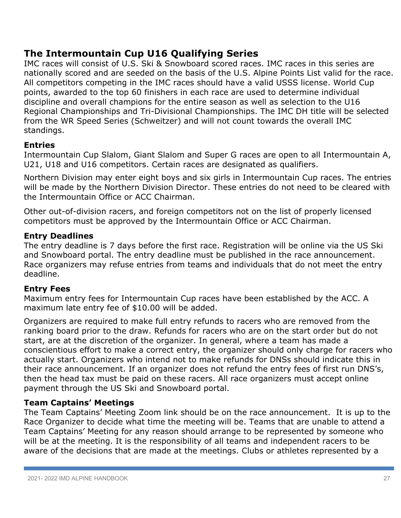# **The Intermountain Cup U16 Qualifying Series**

IMC races will consist of U.S. Ski & Snowboard scored races. IMC races in this series are nationally scored and are seeded on the basis of the U.S. Alpine Points List valid for the race. All competitors competing in the IMC races should have a valid USSS license. World Cup points, awarded to the top 60 finishers in each race are used to determine individual discipline and overall champions for the entire season as well as selection to the U16 Regional Championships and Tri-Divisional Championships. The IMC DH title will be selected from the WR Speed Series (Schweitzer) and will not count towards the overall IMC standings.

# **Entries**

Intermountain Cup Slalom, Giant Slalom and Super G races are open to all Intermountain A, U21, U18 and U16 competitors. Certain races are designated as qualifiers.

Northern Division may enter eight boys and six girls in Intermountain Cup races. The entries will be made by the Northern Division Director. These entries do not need to be cleared with the Intermountain Office or ACC Chairman.

Other out-of-division racers, and foreign competitors not on the list of properly licensed competitors must be approved by the Intermountain Office or ACC Chairman.

# **Entry Deadlines**

The entry deadline is 7 days before the first race. Registration will be online via the US Ski and Snowboard portal. The entry deadline must be published in the race announcement. Race organizers may refuse entries from teams and individuals that do not meet the entry deadline.

# **Entry Fees**

Maximum entry fees for Intermountain Cup races have been established by the ACC. A maximum late entry fee of \$10.00 will be added.

Organizers are required to make full entry refunds to racers who are removed from the ranking board prior to the draw. Refunds for racers who are on the start order but do not start, are at the discretion of the organizer. In general, where a team has made a conscientious effort to make a correct entry, the organizer should only charge for racers who actually start. Organizers who intend not to make refunds for DNSs should indicate this in their race announcement. If an organizer does not refund the entry fees of first run DNS's, then the head tax must be paid on these racers. All race organizers must accept online payment through the US Ski and Snowboard portal.

# **Team Captains' Meetings**

The Team Captains' Meeting Zoom link should be on the race announcement. It is up to the Race Organizer to decide what time the meeting will be. Teams that are unable to attend a Team Captains' Meeting for any reason should arrange to be represented by someone who will be at the meeting. It is the responsibility of all teams and independent racers to be aware of the decisions that are made at the meetings. Clubs or athletes represented by a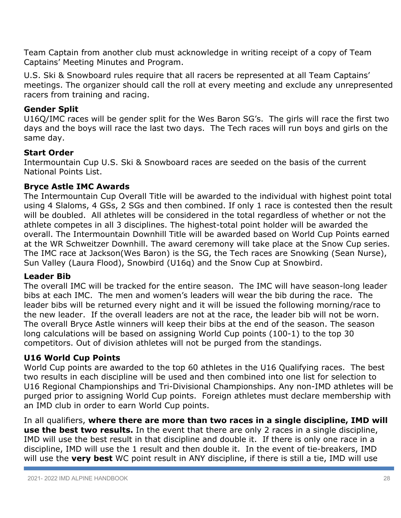Team Captain from another club must acknowledge in writing receipt of a copy of Team Captains' Meeting Minutes and Program.

U.S. Ski & Snowboard rules require that all racers be represented at all Team Captains' meetings. The organizer should call the roll at every meeting and exclude any unrepresented racers from training and racing.

# **Gender Split**

U16Q/IMC races will be gender split for the Wes Baron SG's. The girls will race the first two days and the boys will race the last two days. The Tech races will run boys and girls on the same day.

# **Start Order**

Intermountain Cup U.S. Ski & Snowboard races are seeded on the basis of the current National Points List.

# **Bryce Astle IMC Awards**

The Intermountain Cup Overall Title will be awarded to the individual with highest point total using 4 Slaloms, 4 GSs, 2 SGs and then combined. If only 1 race is contested then the result will be doubled. All athletes will be considered in the total regardless of whether or not the athlete competes in all 3 disciplines. The highest-total point holder will be awarded the overall. The Intermountain Downhill Title will be awarded based on World Cup Points earned at the WR Schweitzer Downhill. The award ceremony will take place at the Snow Cup series. The IMC race at Jackson(Wes Baron) is the SG, the Tech races are Snowking (Sean Nurse), Sun Valley (Laura Flood), Snowbird (U16q) and the Snow Cup at Snowbird.

# **Leader Bib**

The overall IMC will be tracked for the entire season. The IMC will have season-long leader bibs at each IMC. The men and women's leaders will wear the bib during the race. The leader bibs will be returned every night and it will be issued the following morning/race to the new leader. If the overall leaders are not at the race, the leader bib will not be worn. The overall Bryce Astle winners will keep their bibs at the end of the season. The season long calculations will be based on assigning World Cup points (100-1) to the top 30 competitors. Out of division athletes will not be purged from the standings.

# **U16 World Cup Points**

World Cup points are awarded to the top 60 athletes in the U16 Qualifying races. The best two results in each discipline will be used and then combined into one list for selection to U16 Regional Championships and Tri-Divisional Championships. Any non-IMD athletes will be purged prior to assigning World Cup points. Foreign athletes must declare membership with an IMD club in order to earn World Cup points.

In all qualifiers, **where there are more than two races in a single discipline, IMD will use the best two results.** In the event that there are only 2 races in a single discipline, IMD will use the best result in that discipline and double it. If there is only one race in a discipline, IMD will use the 1 result and then double it. In the event of tie-breakers, IMD will use the **very best** WC point result in ANY discipline, if there is still a tie, IMD will use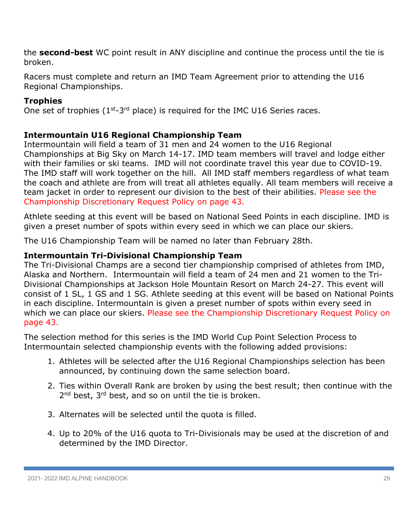the **second-best** WC point result in ANY discipline and continue the process until the tie is broken.

Racers must complete and return an IMD Team Agreement prior to attending the U16 Regional Championships.

# **Trophies**

One set of trophies  $(1^{st}-3^{rd}$  place) is required for the IMC U16 Series races.

# **Intermountain U16 Regional Championship Team**

Intermountain will field a team of 31 men and 24 women to the U16 Regional Championships at Big Sky on March 14-17. IMD team members will travel and lodge either with their families or ski teams. IMD will not coordinate travel this year due to COVID-19. The IMD staff will work together on the hill. All IMD staff members regardless of what team the coach and athlete are from will treat all athletes equally. All team members will receive a team jacket in order to represent our division to the best of their abilities. Please see the Championship Discretionary Request Policy on page 43.

Athlete seeding at this event will be based on National Seed Points in each discipline. IMD is given a preset number of spots within every seed in which we can place our skiers.

The U16 Championship Team will be named no later than February 28th.

# **Intermountain Tri-Divisional Championship Team**

The Tri-Divisional Champs are a second tier championship comprised of athletes from IMD, Alaska and Northern. Intermountain will field a team of 24 men and 21 women to the Tri-Divisional Championships at Jackson Hole Mountain Resort on March 24-27. This event will consist of 1 SL, 1 GS and 1 SG. Athlete seeding at this event will be based on National Points in each discipline. Intermountain is given a preset number of spots within every seed in which we can place our skiers. Please see the Championship Discretionary Request Policy on page 43.

The selection method for this series is the IMD World Cup Point Selection Process to Intermountain selected championship events with the following added provisions:

- 1. Athletes will be selected after the U16 Regional Championships selection has been announced, by continuing down the same selection board.
- 2. Ties within Overall Rank are broken by using the best result; then continue with the 2<sup>nd</sup> best, 3<sup>rd</sup> best, and so on until the tie is broken.
- 3. Alternates will be selected until the quota is filled.
- 4. Up to 20% of the U16 quota to Tri-Divisionals may be used at the discretion of and determined by the IMD Director.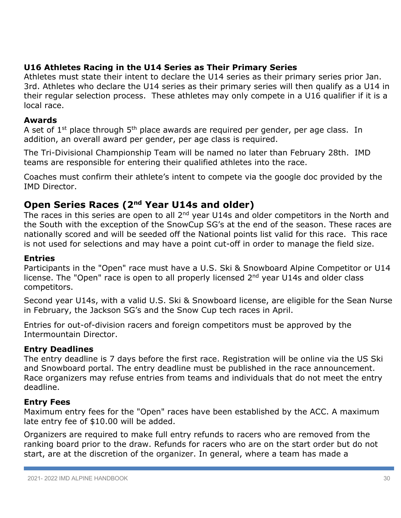# **U16 Athletes Racing in the U14 Series as Their Primary Series**

Athletes must state their intent to declare the U14 series as their primary series prior Jan. 3rd. Athletes who declare the U14 series as their primary series will then qualify as a U14 in their regular selection process. These athletes may only compete in a U16 qualifier if it is a local race.

# **Awards**

A set of  $1^{st}$  place through  $5^{th}$  place awards are required per gender, per age class. In addition, an overall award per gender, per age class is required.

The Tri-Divisional Championship Team will be named no later than February 28th. IMD teams are responsible for entering their qualified athletes into the race.

Coaches must confirm their athlete's intent to compete via the google doc provided by the IMD Director.

# **Open Series Races (2nd Year U14s and older)**

The races in this series are open to all 2<sup>nd</sup> year U14s and older competitors in the North and the South with the exception of the SnowCup SG's at the end of the season. These races are nationally scored and will be seeded off the National points list valid for this race. This race is not used for selections and may have a point cut-off in order to manage the field size.

# **Entries**

Participants in the "Open" race must have a U.S. Ski & Snowboard Alpine Competitor or U14 license. The "Open" race is open to all properly licensed 2<sup>nd</sup> year U14s and older class competitors.

Second year U14s, with a valid U.S. Ski & Snowboard license, are eligible for the Sean Nurse in February, the Jackson SG's and the Snow Cup tech races in April.

Entries for out-of-division racers and foreign competitors must be approved by the Intermountain Director.

# **Entry Deadlines**

The entry deadline is 7 days before the first race. Registration will be online via the US Ski and Snowboard portal. The entry deadline must be published in the race announcement. Race organizers may refuse entries from teams and individuals that do not meet the entry deadline.

# **Entry Fees**

Maximum entry fees for the "Open" races have been established by the ACC. A maximum late entry fee of \$10.00 will be added.

Organizers are required to make full entry refunds to racers who are removed from the ranking board prior to the draw. Refunds for racers who are on the start order but do not start, are at the discretion of the organizer. In general, where a team has made a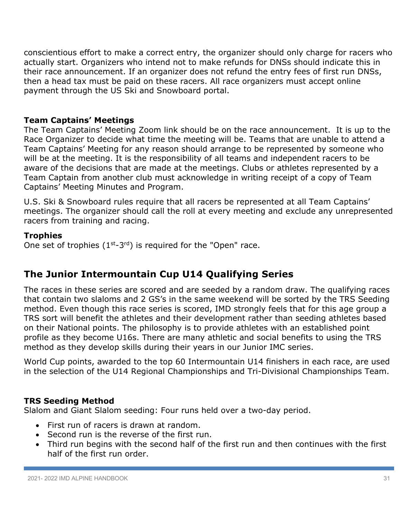conscientious effort to make a correct entry, the organizer should only charge for racers who actually start. Organizers who intend not to make refunds for DNSs should indicate this in their race announcement. If an organizer does not refund the entry fees of first run DNSs, then a head tax must be paid on these racers. All race organizers must accept online payment through the US Ski and Snowboard portal.

# **Team Captains' Meetings**

The Team Captains' Meeting Zoom link should be on the race announcement. It is up to the Race Organizer to decide what time the meeting will be. Teams that are unable to attend a Team Captains' Meeting for any reason should arrange to be represented by someone who will be at the meeting. It is the responsibility of all teams and independent racers to be aware of the decisions that are made at the meetings. Clubs or athletes represented by a Team Captain from another club must acknowledge in writing receipt of a copy of Team Captains' Meeting Minutes and Program.

U.S. Ski & Snowboard rules require that all racers be represented at all Team Captains' meetings. The organizer should call the roll at every meeting and exclude any unrepresented racers from training and racing.

#### **Trophies**

One set of trophies  $(1^{st} - 3^{rd})$  is required for the "Open" race.

# **The Junior Intermountain Cup U14 Qualifying Series**

The races in these series are scored and are seeded by a random draw. The qualifying races that contain two slaloms and 2 GS's in the same weekend will be sorted by the TRS Seeding method. Even though this race series is scored, IMD strongly feels that for this age group a TRS sort will benefit the athletes and their development rather than seeding athletes based on their National points. The philosophy is to provide athletes with an established point profile as they become U16s. There are many athletic and social benefits to using the TRS method as they develop skills during their years in our Junior IMC series.

World Cup points, awarded to the top 60 Intermountain U14 finishers in each race, are used in the selection of the U14 Regional Championships and Tri-Divisional Championships Team.

# **TRS Seeding Method**

Slalom and Giant Slalom seeding: Four runs held over a two-day period.

- First run of racers is drawn at random.
- Second run is the reverse of the first run.
- Third run begins with the second half of the first run and then continues with the first half of the first run order.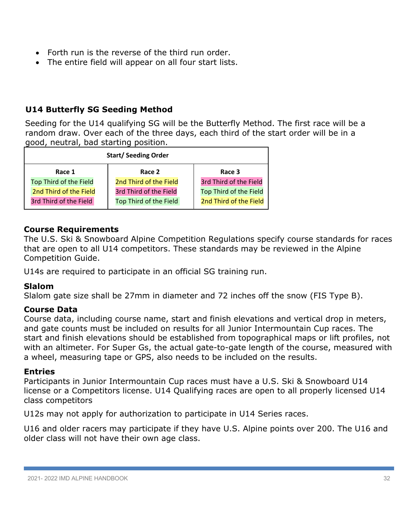- Forth run is the reverse of the third run order.
- The entire field will appear on all four start lists.

# **U14 Butterfly SG Seeding Method**

Seeding for the U14 qualifying SG will be the Butterfly Method. The first race will be a random draw. Over each of the three days, each third of the start order will be in a good, neutral, bad starting position.

| <b>Start/Seeding Order</b> |                        |  |  |
|----------------------------|------------------------|--|--|
| Race 2                     | Race 3                 |  |  |
| 2nd Third of the Field     | 3rd Third of the Field |  |  |
| 3rd Third of the Field     | Top Third of the Field |  |  |
| Top Third of the Field     | 2nd Third of the Field |  |  |
|                            |                        |  |  |

# **Course Requirements**

The U.S. Ski & Snowboard Alpine Competition Regulations specify course standards for races that are open to all U14 competitors. These standards may be reviewed in the Alpine Competition Guide.

U14s are required to participate in an official SG training run.

# **Slalom**

Slalom gate size shall be 27mm in diameter and 72 inches off the snow (FIS Type B).

# **Course Data**

Course data, including course name, start and finish elevations and vertical drop in meters, and gate counts must be included on results for all Junior Intermountain Cup races. The start and finish elevations should be established from topographical maps or lift profiles, not with an altimeter. For Super Gs, the actual gate-to-gate length of the course, measured with a wheel, measuring tape or GPS, also needs to be included on the results.

#### **Entries**

Participants in Junior Intermountain Cup races must have a U.S. Ski & Snowboard U14 license or a Competitors license. U14 Qualifying races are open to all properly licensed U14 class competitors

U12s may not apply for authorization to participate in U14 Series races.

U16 and older racers may participate if they have U.S. Alpine points over 200. The U16 and older class will not have their own age class.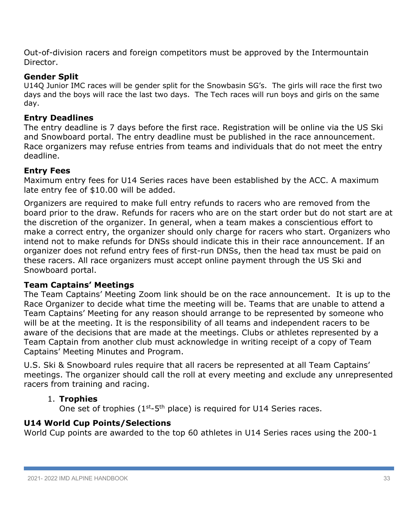Out-of-division racers and foreign competitors must be approved by the Intermountain Director.

# **Gender Split**

U14Q Junior IMC races will be gender split for the Snowbasin SG's. The girls will race the first two days and the boys will race the last two days. The Tech races will run boys and girls on the same day.

# **Entry Deadlines**

The entry deadline is 7 days before the first race. Registration will be online via the US Ski and Snowboard portal. The entry deadline must be published in the race announcement. Race organizers may refuse entries from teams and individuals that do not meet the entry deadline.

# **Entry Fees**

Maximum entry fees for U14 Series races have been established by the ACC. A maximum late entry fee of \$10.00 will be added.

Organizers are required to make full entry refunds to racers who are removed from the board prior to the draw. Refunds for racers who are on the start order but do not start are at the discretion of the organizer. In general, when a team makes a conscientious effort to make a correct entry, the organizer should only charge for racers who start. Organizers who intend not to make refunds for DNSs should indicate this in their race announcement. If an organizer does not refund entry fees of first-run DNSs, then the head tax must be paid on these racers. All race organizers must accept online payment through the US Ski and Snowboard portal.

# **Team Captains' Meetings**

The Team Captains' Meeting Zoom link should be on the race announcement. It is up to the Race Organizer to decide what time the meeting will be. Teams that are unable to attend a Team Captains' Meeting for any reason should arrange to be represented by someone who will be at the meeting. It is the responsibility of all teams and independent racers to be aware of the decisions that are made at the meetings. Clubs or athletes represented by a Team Captain from another club must acknowledge in writing receipt of a copy of Team Captains' Meeting Minutes and Program.

U.S. Ski & Snowboard rules require that all racers be represented at all Team Captains' meetings. The organizer should call the roll at every meeting and exclude any unrepresented racers from training and racing.

# 1. **Trophies**

One set of trophies (1<sup>st</sup>-5<sup>th</sup> place) is required for U14 Series races.

# **U14 World Cup Points/Selections**

World Cup points are awarded to the top 60 athletes in U14 Series races using the 200-1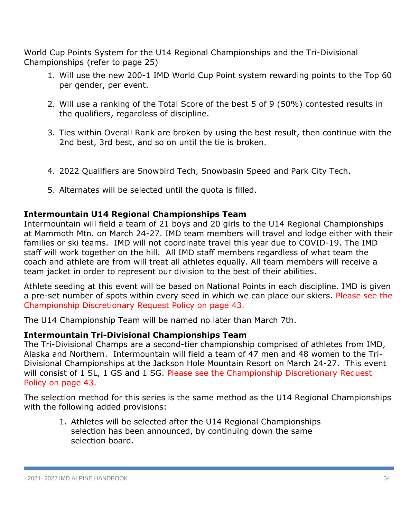World Cup Points System for the U14 Regional Championships and the Tri-Divisional Championships (refer to page 25)

- 1. Will use the new 200-1 IMD World Cup Point system rewarding points to the Top 60 per gender, per event.
- 2. Will use a ranking of the Total Score of the best 5 of 9 (50%) contested results in the qualifiers, regardless of discipline.
- 3. Ties within Overall Rank are broken by using the best result, then continue with the 2nd best, 3rd best, and so on until the tie is broken.
- 4. 2022 Qualifiers are Snowbird Tech, Snowbasin Speed and Park City Tech.
- 5. Alternates will be selected until the quota is filled.

# **Intermountain U14 Regional Championships Team**

Intermountain will field a team of 21 boys and 20 girls to the U14 Regional Championships at Mammoth Mtn. on March 24-27. IMD team members will travel and lodge either with their families or ski teams. IMD will not coordinate travel this year due to COVID-19. The IMD staff will work together on the hill. All IMD staff members regardless of what team the coach and athlete are from will treat all athletes equally. All team members will receive a team jacket in order to represent our division to the best of their abilities.

Athlete seeding at this event will be based on National Points in each discipline. IMD is given a pre-set number of spots within every seed in which we can place our skiers. Please see the Championship Discretionary Request Policy on page 43.

The U14 Championship Team will be named no later than March 7th.

# **Intermountain Tri-Divisional Championships Team**

The Tri-Divisional Champs are a second-tier championship comprised of athletes from IMD, Alaska and Northern. Intermountain will field a team of 47 men and 48 women to the Tri-Divisional Championships at the Jackson Hole Mountain Resort on March 24-27. This event will consist of 1 SL, 1 GS and 1 SG. Please see the Championship Discretionary Request Policy on page 43.

The selection method for this series is the same method as the U14 Regional Championships with the following added provisions:

1. Athletes will be selected after the U14 Regional Championships selection has been announced, by continuing down the same selection board.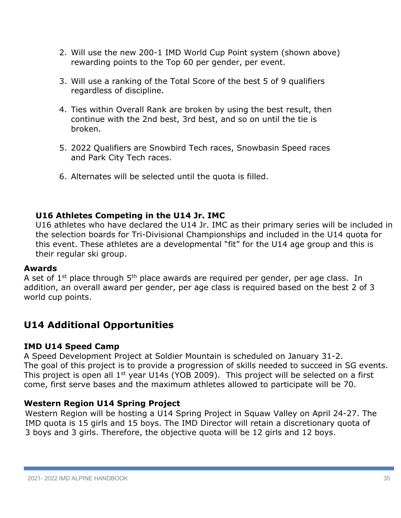- 2. Will use the new 200-1 IMD World Cup Point system (shown above) rewarding points to the Top 60 per gender, per event.
- 3. Will use a ranking of the Total Score of the best 5 of 9 qualifiers regardless of discipline.
- 4. Ties within Overall Rank are broken by using the best result, then continue with the 2nd best, 3rd best, and so on until the tie is broken.
- 5. 2022 Qualifiers are Snowbird Tech races, Snowbasin Speed races and Park City Tech races.
- 6. Alternates will be selected until the quota is filled.

# **U16 Athletes Competing in the U14 Jr. IMC**

U16 athletes who have declared the U14 Jr. IMC as their primary series will be included in the selection boards for Tri-Divisional Championships and included in the U14 quota for this event. These athletes are a developmental "fit" for the U14 age group and this is their regular ski group.

# **Awards**

A set of 1<sup>st</sup> place through 5<sup>th</sup> place awards are required per gender, per age class. In addition, an overall award per gender, per age class is required based on the best 2 of 3 world cup points.

# **U14 Additional Opportunities**

# **IMD U14 Speed Camp**

A Speed Development Project at Soldier Mountain is scheduled on January 31-2. The goal of this project is to provide a progression of skills needed to succeed in SG events. This project is open all 1st year U14s (YOB 2009). This project will be selected on a first come, first serve bases and the maximum athletes allowed to participate will be 70.

# **Western Region U14 Spring Project**

Western Region will be hosting a U14 Spring Project in Squaw Valley on April 24-27. The IMD quota is 15 girls and 15 boys. The IMD Director will retain a discretionary quota of 3 boys and 3 girls. Therefore, the objective quota will be 12 girls and 12 boys.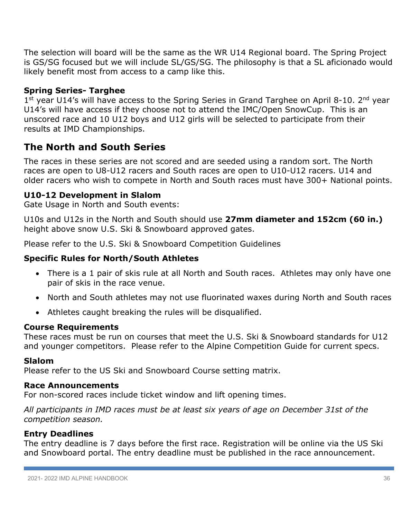The selection will board will be the same as the WR U14 Regional board. The Spring Project is GS/SG focused but we will include SL/GS/SG. The philosophy is that a SL aficionado would likely benefit most from access to a camp like this.

# **Spring Series- Targhee**

1st year U14's will have access to the Spring Series in Grand Targhee on April 8-10. 2<sup>nd</sup> year U14's will have access if they choose not to attend the IMC/Open SnowCup. This is an unscored race and 10 U12 boys and U12 girls will be selected to participate from their results at IMD Championships.

# **The North and South Series**

The races in these series are not scored and are seeded using a random sort. The North races are open to U8-U12 racers and South races are open to U10-U12 racers. U14 and older racers who wish to compete in North and South races must have 300+ National points.

# **U10-12 Development in Slalom**

Gate Usage in North and South events:

U10s and U12s in the North and South should use **27mm diameter and 152cm (60 in.)** height above snow U.S. Ski & Snowboard approved gates.

Please refer to the U.S. Ski & Snowboard Competition Guidelines

# **Specific Rules for North/South Athletes**

- There is a 1 pair of skis rule at all North and South races. Athletes may only have one pair of skis in the race venue.
- North and South athletes may not use fluorinated waxes during North and South races
- Athletes caught breaking the rules will be disqualified.

# **Course Requirements**

These races must be run on courses that meet the U.S. Ski & Snowboard standards for U12 and younger competitors. Please refer to the Alpine Competition Guide for current specs.

# **Slalom**

Please refer to the US Ski and Snowboard Course setting matrix.

#### **Race Announcements**

For non-scored races include ticket window and lift opening times.

*All participants in IMD races must be at least six years of age on December 31st of the competition season.*

# **Entry Deadlines**

The entry deadline is 7 days before the first race. Registration will be online via the US Ski and Snowboard portal. The entry deadline must be published in the race announcement.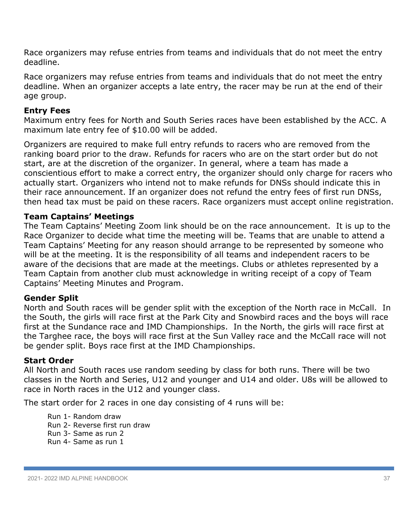Race organizers may refuse entries from teams and individuals that do not meet the entry deadline.

Race organizers may refuse entries from teams and individuals that do not meet the entry deadline. When an organizer accepts a late entry, the racer may be run at the end of their age group.

# **Entry Fees**

Maximum entry fees for North and South Series races have been established by the ACC. A maximum late entry fee of \$10.00 will be added.

Organizers are required to make full entry refunds to racers who are removed from the ranking board prior to the draw. Refunds for racers who are on the start order but do not start, are at the discretion of the organizer. In general, where a team has made a conscientious effort to make a correct entry, the organizer should only charge for racers who actually start. Organizers who intend not to make refunds for DNSs should indicate this in their race announcement. If an organizer does not refund the entry fees of first run DNSs, then head tax must be paid on these racers. Race organizers must accept online registration.

# **Team Captains' Meetings**

The Team Captains' Meeting Zoom link should be on the race announcement. It is up to the Race Organizer to decide what time the meeting will be. Teams that are unable to attend a Team Captains' Meeting for any reason should arrange to be represented by someone who will be at the meeting. It is the responsibility of all teams and independent racers to be aware of the decisions that are made at the meetings. Clubs or athletes represented by a Team Captain from another club must acknowledge in writing receipt of a copy of Team Captains' Meeting Minutes and Program.

#### **Gender Split**

North and South races will be gender split with the exception of the North race in McCall. In the South, the girls will race first at the Park City and Snowbird races and the boys will race first at the Sundance race and IMD Championships. In the North, the girls will race first at the Targhee race, the boys will race first at the Sun Valley race and the McCall race will not be gender split. Boys race first at the IMD Championships.

#### **Start Order**

All North and South races use random seeding by class for both runs. There will be two classes in the North and Series, U12 and younger and U14 and older. U8s will be allowed to race in North races in the U12 and younger class.

The start order for 2 races in one day consisting of 4 runs will be:

Run 1- Random draw Run 2- Reverse first run draw Run 3- Same as run 2 Run 4- Same as run 1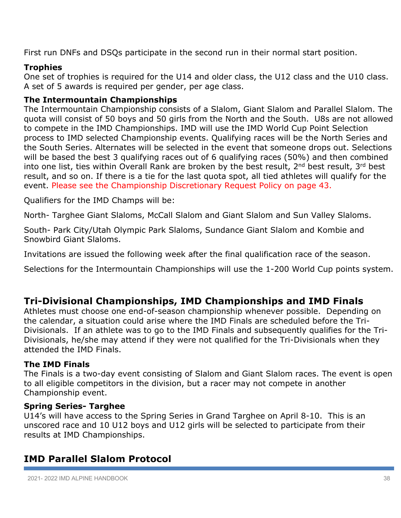First run DNFs and DSQs participate in the second run in their normal start position.

# **Trophies**

One set of trophies is required for the U14 and older class, the U12 class and the U10 class. A set of 5 awards is required per gender, per age class.

# **The Intermountain Championships**

The Intermountain Championship consists of a Slalom, Giant Slalom and Parallel Slalom. The quota will consist of 50 boys and 50 girls from the North and the South. U8s are not allowed to compete in the IMD Championships. IMD will use the IMD World Cup Point Selection process to IMD selected Championship events. Qualifying races will be the North Series and the South Series. Alternates will be selected in the event that someone drops out. Selections will be based the best 3 qualifying races out of 6 qualifying races (50%) and then combined into one list, ties within Overall Rank are broken by the best result, 2<sup>nd</sup> best result, 3<sup>rd</sup> best result, and so on. If there is a tie for the last quota spot, all tied athletes will qualify for the event. Please see the Championship Discretionary Request Policy on page 43.

Qualifiers for the IMD Champs will be:

North- Targhee Giant Slaloms, McCall Slalom and Giant Slalom and Sun Valley Slaloms.

South- Park City/Utah Olympic Park Slaloms, Sundance Giant Slalom and Kombie and Snowbird Giant Slaloms.

Invitations are issued the following week after the final qualification race of the season.

Selections for the Intermountain Championships will use the 1-200 World Cup points system.

# **Tri-Divisional Championships, IMD Championships and IMD Finals**

Athletes must choose one end-of-season championship whenever possible. Depending on the calendar, a situation could arise where the IMD Finals are scheduled before the Tri-Divisionals. If an athlete was to go to the IMD Finals and subsequently qualifies for the Tri-Divisionals, he/she may attend if they were not qualified for the Tri-Divisionals when they attended the IMD Finals.

# **The IMD Finals**

The Finals is a two-day event consisting of Slalom and Giant Slalom races. The event is open to all eligible competitors in the division, but a racer may not compete in another Championship event.

# **Spring Series- Targhee**

U14's will have access to the Spring Series in Grand Targhee on April 8-10. This is an unscored race and 10 U12 boys and U12 girls will be selected to participate from their results at IMD Championships.

# **IMD Parallel Slalom Protocol**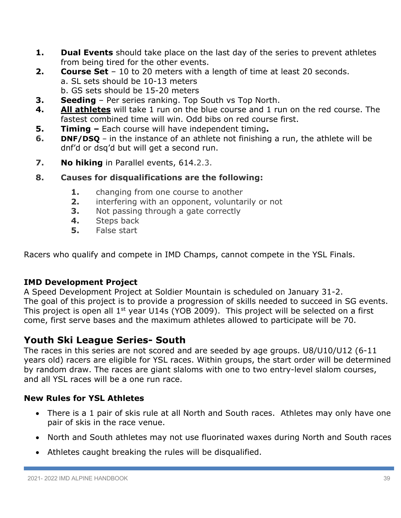- **1. Dual Events** should take place on the last day of the series to prevent athletes from being tired for the other events.
- **2. Course Set** 10 to 20 meters with a length of time at least 20 seconds. a. SL sets should be 10-13 meters b. GS sets should be 15-20 meters
- **3. Seeding**  Per series ranking. Top South vs Top North.
- **4. All athletes** will take 1 run on the blue course and 1 run on the red course. The fastest combined time will win. Odd bibs on red course first.
- **5. Timing –** Each course will have independent timing**.**
- **6. DNF/DSQ** in the instance of an athlete not finishing a run, the athlete will be dnf'd or dsq'd but will get a second run.
- **7. No hiking** in Parallel events, 614.2.3.
- **8. Causes for disqualifications are the following:**
	- **1.** changing from one course to another
	- **2.** interfering with an opponent, voluntarily or not
	- **3.** Not passing through a gate correctly
	- **4.** Steps back
	- **5.** False start

Racers who qualify and compete in IMD Champs, cannot compete in the YSL Finals.

# **IMD Development Project**

A Speed Development Project at Soldier Mountain is scheduled on January 31-2. The goal of this project is to provide a progression of skills needed to succeed in SG events. This project is open all 1st year U14s (YOB 2009). This project will be selected on a first come, first serve bases and the maximum athletes allowed to participate will be 70.

# **Youth Ski League Series- South**

The races in this series are not scored and are seeded by age groups. U8/U10/U12 (6-11 years old) racers are eligible for YSL races. Within groups, the start order will be determined by random draw. The races are giant slaloms with one to two entry-level slalom courses, and all YSL races will be a one run race.

# **New Rules for YSL Athletes**

- There is a 1 pair of skis rule at all North and South races. Athletes may only have one pair of skis in the race venue.
- North and South athletes may not use fluorinated waxes during North and South races
- Athletes caught breaking the rules will be disqualified.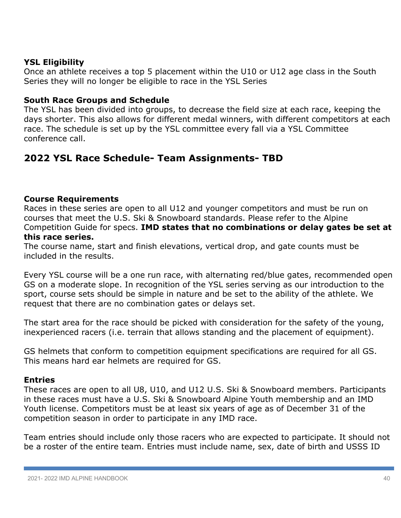# **YSL Eligibility**

Once an athlete receives a top 5 placement within the U10 or U12 age class in the South Series they will no longer be eligible to race in the YSL Series

# **South Race Groups and Schedule**

The YSL has been divided into groups, to decrease the field size at each race, keeping the days shorter. This also allows for different medal winners, with different competitors at each race. The schedule is set up by the YSL committee every fall via a YSL Committee conference call.

# **2022 YSL Race Schedule- Team Assignments- TBD**

# **Course Requirements**

Races in these series are open to all U12 and younger competitors and must be run on courses that meet the U.S. Ski & Snowboard standards. Please refer to the Alpine Competition Guide for specs. **IMD states that no combinations or delay gates be set at this race series.**

The course name, start and finish elevations, vertical drop, and gate counts must be included in the results.

Every YSL course will be a one run race, with alternating red/blue gates, recommended open GS on a moderate slope. In recognition of the YSL series serving as our introduction to the sport, course sets should be simple in nature and be set to the ability of the athlete. We request that there are no combination gates or delays set.

The start area for the race should be picked with consideration for the safety of the young, inexperienced racers (i.e. terrain that allows standing and the placement of equipment).

GS helmets that conform to competition equipment specifications are required for all GS. This means hard ear helmets are required for GS.

#### **Entries**

These races are open to all U8, U10, and U12 U.S. Ski & Snowboard members. Participants in these races must have a U.S. Ski & Snowboard Alpine Youth membership and an IMD Youth license. Competitors must be at least six years of age as of December 31 of the competition season in order to participate in any IMD race.

Team entries should include only those racers who are expected to participate. It should not be a roster of the entire team. Entries must include name, sex, date of birth and USSS ID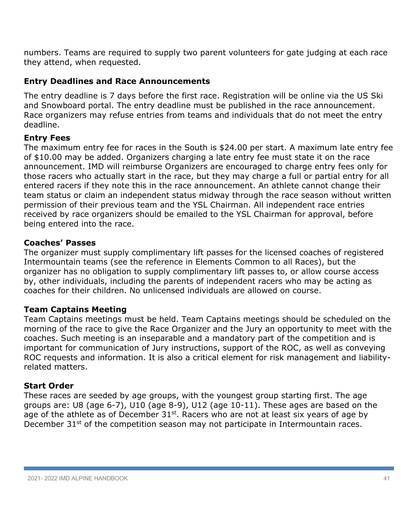numbers. Teams are required to supply two parent volunteers for gate judging at each race they attend, when requested.

# **Entry Deadlines and Race Announcements**

The entry deadline is 7 days before the first race. Registration will be online via the US Ski and Snowboard portal. The entry deadline must be published in the race announcement. Race organizers may refuse entries from teams and individuals that do not meet the entry deadline.

# **Entry Fees**

The maximum entry fee for races in the South is \$24.00 per start. A maximum late entry fee of \$10.00 may be added. Organizers charging a late entry fee must state it on the race announcement. IMD will reimburse Organizers are encouraged to charge entry fees only for those racers who actually start in the race, but they may charge a full or partial entry for all entered racers if they note this in the race announcement. An athlete cannot change their team status or claim an independent status midway through the race season without written permission of their previous team and the YSL Chairman. All independent race entries received by race organizers should be emailed to the YSL Chairman for approval, before being entered into the race.

# **Coaches' Passes**

The organizer must supply complimentary lift passes for the licensed coaches of registered Intermountain teams (see the reference in Elements Common to all Races), but the organizer has no obligation to supply complimentary lift passes to, or allow course access by, other individuals, including the parents of independent racers who may be acting as coaches for their children. No unlicensed individuals are allowed on course.

# **Team Captains Meeting**

Team Captains meetings must be held. Team Captains meetings should be scheduled on the morning of the race to give the Race Organizer and the Jury an opportunity to meet with the coaches. Such meeting is an inseparable and a mandatory part of the competition and is important for communication of Jury instructions, support of the ROC, as well as conveying ROC requests and information. It is also a critical element for risk management and liabilityrelated matters.

#### **Start Order**

These races are seeded by age groups, with the youngest group starting first. The age groups are: U8 (age 6-7), U10 (age 8-9), U12 (age 10-11). These ages are based on the age of the athlete as of December  $31^{st}$ . Racers who are not at least six years of age by December 31<sup>st</sup> of the competition season may not participate in Intermountain races.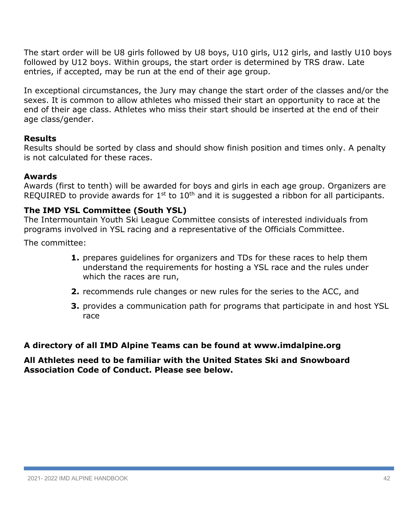The start order will be U8 girls followed by U8 boys, U10 girls, U12 girls, and lastly U10 boys followed by U12 boys. Within groups, the start order is determined by TRS draw. Late entries, if accepted, may be run at the end of their age group.

In exceptional circumstances, the Jury may change the start order of the classes and/or the sexes. It is common to allow athletes who missed their start an opportunity to race at the end of their age class. Athletes who miss their start should be inserted at the end of their age class/gender.

# **Results**

Results should be sorted by class and should show finish position and times only. A penalty is not calculated for these races.

# **Awards**

Awards (first to tenth) will be awarded for boys and girls in each age group. Organizers are REQUIRED to provide awards for  $1<sup>st</sup>$  to  $10<sup>th</sup>$  and it is suggested a ribbon for all participants.

# **The IMD YSL Committee (South YSL)**

The Intermountain Youth Ski League Committee consists of interested individuals from programs involved in YSL racing and a representative of the Officials Committee.

The committee:

- **1.** prepares guidelines for organizers and TDs for these races to help them understand the requirements for hosting a YSL race and the rules under which the races are run,
- **2.** recommends rule changes or new rules for the series to the ACC, and
- **3.** provides a communication path for programs that participate in and host YSL race

# **A directory of all IMD Alpine Teams can be found at www.imdalpine.org**

# **All Athletes need to be familiar with the United States Ski and Snowboard Association Code of Conduct. Please see below.**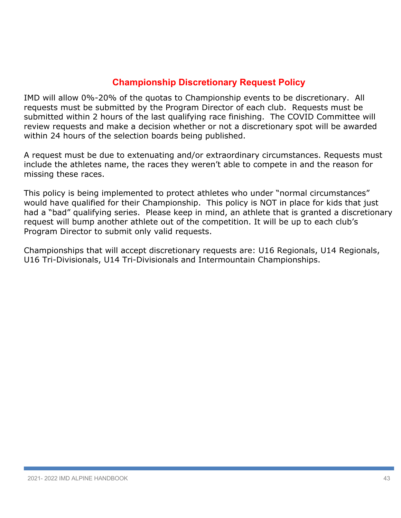# **Championship Discretionary Request Policy**

IMD will allow 0%-20% of the quotas to Championship events to be discretionary. All requests must be submitted by the Program Director of each club. Requests must be submitted within 2 hours of the last qualifying race finishing. The COVID Committee will review requests and make a decision whether or not a discretionary spot will be awarded within 24 hours of the selection boards being published.

A request must be due to extenuating and/or extraordinary circumstances. Requests must include the athletes name, the races they weren't able to compete in and the reason for missing these races.

This policy is being implemented to protect athletes who under "normal circumstances" would have qualified for their Championship. This policy is NOT in place for kids that just had a "bad" qualifying series. Please keep in mind, an athlete that is granted a discretionary request will bump another athlete out of the competition. It will be up to each club's Program Director to submit only valid requests.

Championships that will accept discretionary requests are: U16 Regionals, U14 Regionals, U16 Tri-Divisionals, U14 Tri-Divisionals and Intermountain Championships.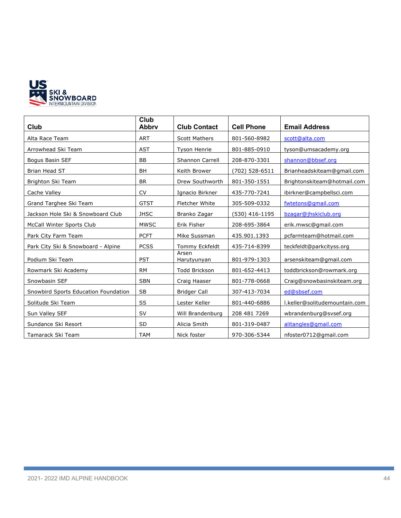

| Club                                 | Club<br><b>Abbrv</b> | <b>Club Contact</b>  | <b>Cell Phone</b> | <b>Email Address</b>          |
|--------------------------------------|----------------------|----------------------|-------------------|-------------------------------|
| Alta Race Team                       | <b>ART</b>           | <b>Scott Mathers</b> | 801-560-8982      | scott@alta.com                |
| Arrowhead Ski Team                   | <b>AST</b>           | <b>Tyson Henrie</b>  | 801-885-0910      | tyson@umsacademy.org          |
| Bogus Basin SEF                      | <b>BB</b>            | Shannon Carrell      | 208-870-3301      | shannon@bbsef.org             |
| Brian Head ST                        | <b>BH</b>            | Keith Brower         | (702) 528-6511    | Brianheadskiteam@gmail.com    |
| Brighton Ski Team                    | <b>BR</b>            | Drew Southworth      | 801-350-1551      | Brightonskiteam@hotmail.com   |
| Cache Valley                         | <b>CV</b>            | Ignacio Birkner      | 435-770-7241      | ibirkner@campbellsci.com      |
| Grand Targhee Ski Team               | <b>GTST</b>          | Fletcher White       | 305-509-0332      | fwtetons@gmail.com            |
| Jackson Hole Ski & Snowboard Club    | <b>JHSC</b>          | Branko Zagar         | (530) 416-1195    | bzagar@jhskiclub.org          |
| McCall Winter Sports Club            | <b>MWSC</b>          | Erik Fisher          | 208-695-3864      | erik.mwsc@gmail.com           |
| Park City Farm Team                  | <b>PCFT</b>          | Mike Sussman         | 435.901.1393      | pcfarmteam@hotmail.com        |
| Park City Ski & Snowboard - Alpine   | <b>PCSS</b>          | Tommy Eckfeldt       | 435-714-8399      | teckfeldt@parkcityss.org      |
| Podium Ski Team                      | <b>PST</b>           | Arsen<br>Harutyunyan | 801-979-1303      | arsenskiteam@gmail.com        |
| Rowmark Ski Academy                  | <b>RM</b>            | <b>Todd Brickson</b> | 801-652-4413      | toddbrickson@rowmark.org      |
| Snowbasin SEF                        | <b>SBN</b>           | Craig Haaser         | 801-778-0668      | Craig@snowbasinskiteam.org    |
| Snowbird Sports Education Foundation | <b>SB</b>            | <b>Bridger Call</b>  | 307-413-7034      | ed@sbsef.com                  |
| Solitude Ski Team                    | SS                   | Lester Keller        | 801-440-6886      | I.keller@solitudemountain.com |
| Sun Valley SEF                       | <b>SV</b>            | Will Brandenburg     | 208 481 7269      | wbrandenburg@svsef.org        |
| Sundance Ski Resort                  | <b>SD</b>            | Alicia Smith         | 801-319-0487      | alitangles@gmail.com          |
| Tamarack Ski Team                    | <b>TAM</b>           | Nick foster          | 970-306-5344      | nfoster0712@gmail.com         |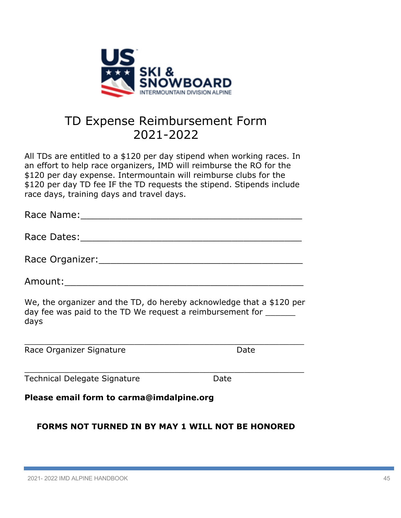

# TD Expense Reimbursement Form 2021-2022

All TDs are entitled to a \$120 per day stipend when working races. In an effort to help race organizers, IMD will reimburse the RO for the \$120 per day expense. Intermountain will reimburse clubs for the \$120 per day TD fee IF the TD requests the stipend. Stipends include race days, training days and travel days.

| Race Name: 2008                                                                                                                           |      |
|-------------------------------------------------------------------------------------------------------------------------------------------|------|
|                                                                                                                                           |      |
| Race Organizer: National Accounts and Accounts are also been accounted by the set of the set of the set of the                            |      |
| Amount:____________________________                                                                                                       |      |
| We, the organizer and the TD, do hereby acknowledge that a \$120 per<br>day fee was paid to the TD We request a reimbursement for<br>days |      |
| Race Organizer Signature                                                                                                                  | Date |

# **Please email form to carma@imdalpine.org**

Technical Delegate Signature **Date** 

# **FORMS NOT TURNED IN BY MAY 1 WILL NOT BE HONORED**